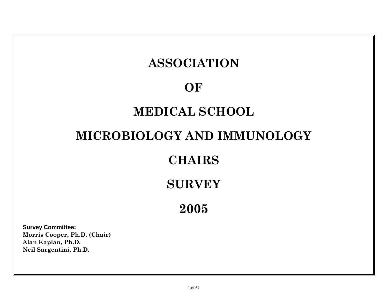# **ASSOCIATION**

### **OF**

# **MEDICAL SCHOOL**

# **MICROBIOLOGY AND IMMUNOLOGY**

### **CHAIRS**

# **SURVEY**

**2005**

**Survey Committee: Morris Cooper, Ph.D. (Chair) Alan Kaplan, Ph.D. Neil Sargentini, Ph.D.**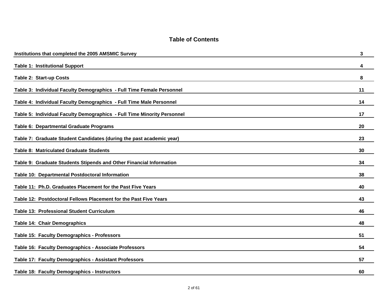|  |  |  | <b>Table of Contents</b> |
|--|--|--|--------------------------|
|--|--|--|--------------------------|

| Institutions that completed the 2005 AMSMIC Survey                      | 3  |
|-------------------------------------------------------------------------|----|
| <b>Table 1: Institutional Support</b>                                   | 4  |
| Table 2: Start-up Costs                                                 | 8  |
| Table 3: Individual Faculty Demographics - Full Time Female Personnel   | 11 |
| Table 4: Individual Faculty Demographics - Full Time Male Personnel     | 14 |
| Table 5: Individual Faculty Demographics - Full Time Minority Personnel | 17 |
| Table 6: Departmental Graduate Programs                                 | 20 |
| Table 7: Graduate Student Candidates (during the past academic year)    | 23 |
| Table 8: Matriculated Graduate Students                                 | 30 |
| Table 9: Graduate Students Stipends and Other Financial Information     | 34 |
| Table 10: Departmental Postdoctoral Information                         | 38 |
| Table 11: Ph.D. Graduates Placement for the Past Five Years             | 40 |
| Table 12: Postdoctoral Fellows Placement for the Past Five Years        | 43 |
| <b>Table 13: Professional Student Curriculum</b>                        | 46 |
| <b>Table 14: Chair Demographics</b>                                     | 48 |
| Table 15: Faculty Demographics - Professors                             | 51 |
| Table 16: Faculty Demographics - Associate Professors                   | 54 |
| Table 17: Faculty Demographics - Assistant Professors                   | 57 |
| Table 18: Faculty Demographics - Instructors                            | 60 |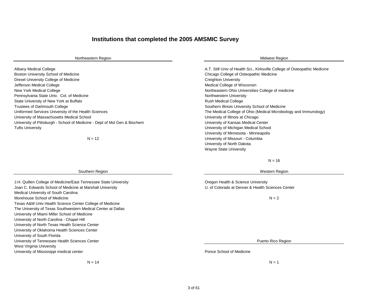#### **Institutions that completed the 2005 AMSMIC Survey**

| Northeastern Region                                                       | <b>Midwest Region</b>                                                      |
|---------------------------------------------------------------------------|----------------------------------------------------------------------------|
| Albany Medical College                                                    | A.T. Still Univ of Health Sci., Kirksville College of Osteopathic Medicine |
| Boston University School of Medicine                                      | Chicago College of Osteopathic Medicine                                    |
| Drexel University College of Medicine                                     | Creighton University                                                       |
| Jefferson Medical College                                                 | Medical College of Wisconsin                                               |
| <b>New York Medical College</b>                                           | Northeastern Ohio Universities College of medicine                         |
| Pennsylvania State Univ. Col. of Medicine                                 | Northwestern University                                                    |
| State University of New York at Buffalo                                   | <b>Rush Medical College</b>                                                |
| <b>Trustees of Dartmouth College</b>                                      | Southern Illinois University School of Medicine                            |
| Uniformed Services University of the Health Sciences                      | The Medical College of Ohio (Medical Microbiology and Immunology)          |
| University of Massachusetts Medical School                                | University of Illinois at Chicago                                          |
| University of Pittsburgh - School of Medicine - Dept of Mol Gen & Biochem | University of Kansas Medical Center                                        |
| Tufts University                                                          | University of Michigan Medical School                                      |
|                                                                           | University of Minnesota - Minneapolis                                      |
| $N = 12$                                                                  | University of Missouri - Columbia                                          |
|                                                                           | University of North Dakota                                                 |
|                                                                           | <b>Wayne State University</b>                                              |

#### $N = 16$

#### Western Region

J.H. Quillen College of Medicine/East Tennessee State University Oregon Health & Science University Joan C. Edwards School of Medicine at Marshall University **Concerned Access Center** U. of Colorado at Denver & Health Sciences Center

 $N = 2$ 

Puerto Rico Region

University of Mississippi medical center **Ponce School of Medicine** Ponce School of Medicine

 $N = 14$   $N = 1$ 

Southern Region

Medical University of South Carolina Morehouse School of Medicine

University of South Florida

West Virginia University

University of Miami Miller School of Medicine University of North Carolina - Chapel Hill University of North Texas Health Science Center University of Oklahoma Health Sciences Center

University of Tennessee Health Sciences Center

Texas A&M Univ Health Science Center College of Medicine The University of Texas Southwestern Medical Center at Dallas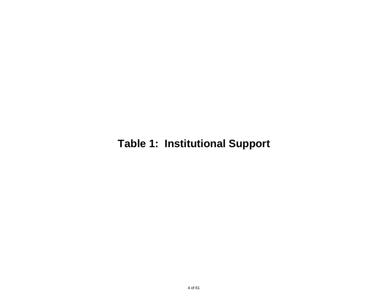# **Table 1: Institutional Support**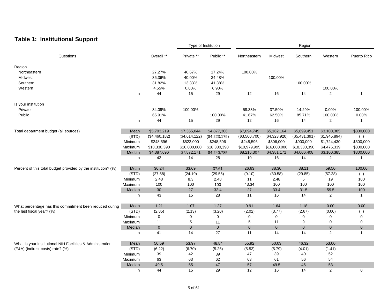### **Table 1: Institutional Support**

|                                                                                      |         |               |               | Type of Institution |                |               | Region        |                |                |
|--------------------------------------------------------------------------------------|---------|---------------|---------------|---------------------|----------------|---------------|---------------|----------------|----------------|
| Questions                                                                            |         | Overall **    | Private **    | Public **           | Northeastern   | Midwest       | Southern      | Western        | Puerto Rico    |
| Region                                                                               |         |               |               |                     |                |               |               |                |                |
| Northeastern                                                                         |         | 27.27%        | 46.67%        | 17.24%              | 100.00%        |               |               |                |                |
| Midwest                                                                              |         | 36.36%        | 40.00%        | 34.48%              |                | 100.00%       |               |                |                |
| Southern                                                                             |         | 31.82%        | 13.33%        | 41.38%              |                |               | 100.00%       |                |                |
| Western                                                                              |         | 4.55%         |               |                     |                |               |               |                |                |
|                                                                                      |         |               | 0.00%         | 6.90%               |                |               |               | 100.00%        | $\overline{1}$ |
|                                                                                      | n       | 44            | 15            | 29                  | 12             | 16            | 14            | 2              |                |
| Is your institution                                                                  |         |               |               |                     |                |               |               |                |                |
| Private                                                                              |         | 34.09%        | 100.00%       |                     | 58.33%         | 37.50%        | 14.29%        | 0.00%          | 100.00%        |
| Public                                                                               |         | 65.91%        |               | 100.00%             | 41.67%         | 62.50%        | 85.71%        | 100.00%        | 0.00%          |
|                                                                                      | n       | 44            | 15            | 29                  | 12             | 16            | 14            | $\overline{c}$ | 1              |
|                                                                                      |         |               |               |                     |                |               |               |                |                |
| Total department budget (all sources)                                                | Mean    | \$5,703,219   | \$7,355,044   | \$4,877,306         | \$7,094,749    | \$5,162,164   | \$5,699,451   | \$3,100,385    | \$300,000      |
|                                                                                      | (STD)   | (\$4,460,182) | (\$4,614,122) | (\$4,223,179)       | (\$3,500,700)  | (\$4,323,920) | (\$5,431,391) | (\$1,945,894)  | ( )            |
|                                                                                      | Minimum | \$248,596     | \$522,000     | \$248,596           | \$248,596      | \$306,000     | \$900,000     | \$1,724,430    | \$300,000      |
|                                                                                      | Maximum | \$18,330,390  | \$16,000,000  | \$18,330,390        | \$10,979,995   | \$16,000,000  | \$18,330,390  | \$4,476,339    | \$300,000      |
|                                                                                      | Median  | \$4,387,696   | \$7,872,171   | \$4,240,785         | \$8,216,307    | \$4,381,171   | \$4,006,408   | \$3,100,385    | \$300,000      |
|                                                                                      | n       | 42            | 14            | 28                  | 10             | 16            | 14            | $\overline{2}$ | $\mathbf{1}$   |
| Percent of this total budget provided by the institution? (%)                        | Mean    | 36.24         | 33.69         | 37.61               | 26.63          | 38.30         | 38.11         | 59.50          | 100.00         |
|                                                                                      | (STD)   | (27.58)       | (24.19)       | (29.56)             | (9.10)         | (30.58)       | (29.85)       | (57.28)        | ()             |
|                                                                                      | Minimum | 2.48          | 8.3           | 2.48                | 11             | 2.48          | 5             | 19             | 100            |
|                                                                                      | Maximum | 100           | 100           | 100                 | 43.34          | 100           | 100           | 100            | 100            |
|                                                                                      | Median  | 30            | 27            | 32.4                | 27             | 33.4          | 31.5          | 59.5           | 100            |
|                                                                                      | n       | 43            | 15            | 28                  | 11             | 16            | 14            | 2              | -1             |
|                                                                                      | Mean    | 1.21          | 1.07          | 1.27                | 0.91           | 1.64          | 1.18          | 0.00           | 0.00           |
| What percentage has this commitment been reduced during<br>the last fiscal year? (%) | (STD)   | (2.85)        | (2.13)        | (3.20)              | (2.02)         | (3.77)        | (2.67)        | (0.00)         |                |
|                                                                                      | Minimum | 0             | 0             | $\mathbf 0$         | 0              | $\mathbf 0$   | 0             | 0              | ( )<br>0       |
|                                                                                      |         | 11            |               |                     | 5              |               | 9             | 0              | 0              |
|                                                                                      | Maximum |               | 5             | 11                  | $\overline{0}$ | 11            |               |                |                |
|                                                                                      | Median  | $\mathbf 0$   | $\mathbf 0$   | $\mathbf 0$         |                | $\mathbf 0$   | $\pmb{0}$     | $\mathbf 0$    | $\mathbf 0$    |
|                                                                                      | n       | 41            | 14            | 27                  | 11             | 14            | 14            | 2              | $\mathbf{1}$   |
| What is your institutional NIH Facilities & Administration                           | Mean    | 50.59         | 53.97         | 48.84               | 55.92          | 50.03         | 46.32         | 53.00          |                |
| (F&A) (indirect costs) rate? (%)                                                     | (STD)   | (6.22)        | (6.70)        | (5.26)              | (5.53)         | (5.79)        | (4.01)        | (1.41)         |                |
|                                                                                      | Minimum | 39            | 42            | 39                  | 47             | 39            | 40            | 52             |                |
|                                                                                      | Maximum | 63            | 63            | 62                  | 63             | 61            | 56            | 54             |                |
|                                                                                      | Median  | 49.5          | 55            | 47                  | 57             | 49.5          | 46            | 53             |                |
|                                                                                      | n       | 44            | 15            | 29                  | 12             | 16            | 14            | 2              | 0              |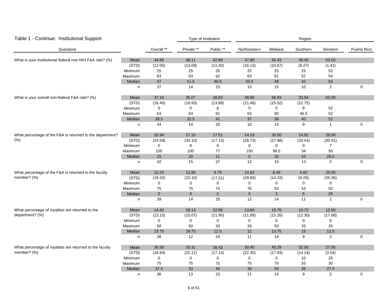| Table 1 - Continue: Institutional Support                 |         |             |             | Type of Institution |                     |            | Region          |                |             |
|-----------------------------------------------------------|---------|-------------|-------------|---------------------|---------------------|------------|-----------------|----------------|-------------|
| Questions                                                 |         | Overall **  | Private **  | Public **           | Northeastern        | Midwest    | Southern        | Western        | Puerto Rico |
| What is your institutional federal non-NIH F&A rate? (%)  | Mean    | 44.86       | 48.11       | 42.89               | 47.80               | 45.43      | 39.45           | 53.00          |             |
|                                                           | (STD)   | (12.05)     | (13.09)     | (11.20)             | (16.13)             | (10.67)    | (9.27)          | (1.41)         |             |
|                                                           | Minimum | 25          | 25          | 25                  | 25                  | 25         | 25              | 52             |             |
|                                                           | Maximum | 63          | 63          | 62                  | 63                  | 61         | 52              | 54             |             |
|                                                           | Median  | $47\,$      | 51.5        | 46.5                | 55.5                | 48         | 42              | 53             |             |
|                                                           | n       | 37          | 14          | 23                  | 10                  | 15         | 10              | $\overline{2}$ | 0           |
| What is your overall non-federal F&A rate? (%)            | Mean    | 37.16       | 35.07       | 38.63               | 38.90               | 36.93      | 33.94           | 52.00          |             |
|                                                           | (STD)   | (16.45)     | (19.93)     | (13.88)             | (21.48)             | (15.52)    | (12.75)         |                |             |
|                                                           | Minimum | 0           | 0           | 8                   | $\mathbf 0$         | 5          | 8               | 52             |             |
|                                                           | Maximum | 63          | 63          | 62                  | 63                  | 60         | 46.5            | 52             |             |
|                                                           | Median  | 38.5        | 32.5        | 41                  | 37                  | 36         | 40              | 52             |             |
|                                                           | n       | 34          | 14          | 20                  | 10                  | 14         | 9               | $\overline{1}$ | 0           |
| What percentage of the F&A is returned to the department? | Mean    | 20.94       | 27.10       | 17.51               | 14.23               | 30.50      | 14.92           | 28.50          |             |
| (% )                                                      | (STD)   | (24.59)     | (34.10)     | (17.13)             | (28.73)             | (27.98)    | (10.54)         | (30.41)        |             |
|                                                           | Minimum | $\pmb{0}$   | 0           | 0                   | 0                   | 0          | $\pmb{0}$       | $\overline{7}$ |             |
|                                                           | Maximum | 100         | 100         | 77                  | 100                 | 98.5       | 34              | 50             |             |
|                                                           | Median  | 15          | 20          | $11$                | $\overline{0}$      | 25         | $10$            | 28.5           |             |
|                                                           | n       | 42          | 15          | 27                  | 12                  | 15         | 13              | $\overline{2}$ | 0           |
| What percentage of the F&A is returned to the faculty     | Mean    | 10.25       | 12.86       | 8.79                | 14.83               | 8.49       | 4.82            | 25.00          |             |
| member? (%)                                               | (STD)   | (19.32)     | (23.10)     | (17.21)             | (28.66)             | (14.33)    | (4.29)          | (35.36)        |             |
|                                                           | Minimum | $\mathsf 0$ | $\mathbf 0$ | $\mathbf 0$         | $\mathsf{O}\xspace$ | $\pmb{0}$  | 0               | 0              |             |
|                                                           | Maximum | 75          | 75          | 75                  | 75                  | 50         | 10              | 50             |             |
|                                                           | Median  | $\pmb{0}$   | $\mathbf 0$ | $\overline{5}$      | $\pmb{0}$           | $\sqrt{2}$ | $5\phantom{.0}$ | 25             |             |
|                                                           | n       | 39          | 14          | 25                  | 12                  | 14         | 11              | 2              | $\mathbf 0$ |
| What percentage of royalties are returned to the          | Mean    | 14.42       | 18.13       | 12.56               | 13.64               | 15.75      | 13.72           | 12.50          |             |
| department? (%)                                           | (STD)   | (13.10)     | (15.07)     | (11.90)             | (11.89)             | (15.26)    | (12.30)         | (17.68)        |             |
|                                                           | Minimum | $\pmb{0}$   | 0           | 0                   | 0                   | 0          | 0               | $\mathbf 0$    |             |
|                                                           | Maximum | 50          | 50          | 33                  | 33                  | 50         | 33              | 25             |             |
|                                                           | Median  | 13.75       | 18.75       | 12.5                | 12                  | 13.75      | $15\,$          | 12.5           |             |
|                                                           | n       | 36          | 12          | 24                  | 11                  | 14         | 9               | $\overline{2}$ | $\mathbf 0$ |
| What percentage of royalties are returned to the faculty  | Mean    | 36.58       | 33.31       | 38.43               | 30.45               | 45.29      | 32.56           | 27.50          |             |
| member? (%)                                               | (STD)   | (18.94)     | (22.11)     | (17.14)             | (22.30)             | (17.93)    | (14.14)         | (3.54)         |             |
|                                                           | Minimum | 0           | 0           | 0                   | 0                   | 0          | $10$            | 25             |             |
|                                                           | Maximum | 75          | 75          | 75                  | 75                  | 75         | 55              | $30\,$         |             |
|                                                           | Median  | 37.5        | 33          | 40                  | 30                  | 50         | 35              | 27.5           |             |
|                                                           | n       | 36          | 13          | 23                  | 11                  | 14         | 9               | 2              | $\mathbf 0$ |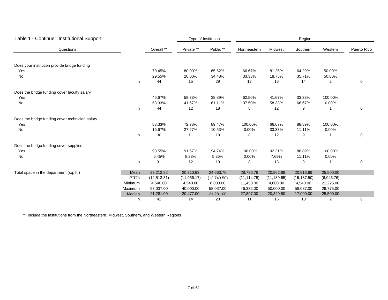| Table 1 - Continue: Institutional Support       |         |              |              | Type of Institution |              |              | Region       |                |             |
|-------------------------------------------------|---------|--------------|--------------|---------------------|--------------|--------------|--------------|----------------|-------------|
| Questions                                       |         | Overall **   | Private **   | Public **           | Northeastern | Midwest      | Southern     | Western        | Puerto Rico |
| Does your institution provide bridge funding    |         |              |              |                     |              |              |              |                |             |
| Yes                                             |         | 70.45%       | 80.00%       | 65.52%              | 66.67%       | 81.25%       | 64.29%       | 50.00%         |             |
| No                                              |         | 29.55%       | 20.00%       | 34.48%              | 33.33%       | 18.75%       | 35.71%       | 50.00%         |             |
|                                                 | n       | 44           | 15           | 29                  | 12           | 16           | 14           | $\overline{2}$ | 0           |
| Does the bridge funding cover faculty salary    |         |              |              |                     |              |              |              |                |             |
| Yes                                             |         | 46.67%       | 58.33%       | 38.89%              | 62.50%       | 41.67%       | 33.33%       | 100.00%        |             |
| No                                              |         | 53.33%       | 41.67%       | 61.11%              | 37.50%       | 58.33%       | 66.67%       | 0.00%          |             |
|                                                 | n       | 44           | 12           | 18                  | 8            | 12           | 9            |                | 0           |
| Does the bridge funding cover technician salary |         |              |              |                     |              |              |              |                |             |
| Yes                                             |         | 83.33%       | 72.73%       | 89.47%              | 100.00%      | 66.67%       | 88.89%       | 100.00%        |             |
| No                                              |         | 16.67%       | 27.27%       | 10.53%              | 0.00%        | 33.33%       | 11.11%       | 0.00%          |             |
|                                                 | n       | 30           | 11           | 19                  | 8            | 12           | 9            |                | 0           |
| Does the bridge funding cover supplies          |         |              |              |                     |              |              |              |                |             |
| Yes                                             |         | 93.55%       | 91.67%       | 94.74%              | 100.00%      | 92.31%       | 88.89%       | 100.00%        |             |
| No                                              |         | 6.45%        | 8.33%        | 5.26%               | 0.00%        | 7.69%        | 11.11%       | 0.00%          |             |
|                                                 | n       | 31           | 12           | 19                  | 8            | 13           | 9            |                | 0           |
| Total space in the department (sq. ft.)         | Mean    | 23,212.82    | 20,310.93    | 24,663.76           | 28,786.76    | 20,962.88    | 20,913.69    | 25,500.00      |             |
|                                                 | (STD)   | (12, 513.31) | (11, 956.17) | (12,743.50)         | (11, 114.75) | (11, 189.65) | (15, 187.50) | (6,045.76)     |             |
|                                                 | Minimum | 4,540.00     | 4,540.00     | 8,000.00            | 11,450.00    | 4,600.00     | 4,540.00     | 21,225.00      |             |
|                                                 | Maximum | 58,037.00    | 40,000.00    | 58,037.00           | 46,332.00    | 50,000.00    | 58,037.00    | 29,775.00      |             |
|                                                 | Median  | 21,281.00    | 20,477.00    | 21,281.00           | 27,897.00    | 20,329.50    | 17,000.00    | 25,500.00      |             |
|                                                 | n       | 42           | 14           | 28                  | 11           | 16           | 13           | 2              | 0           |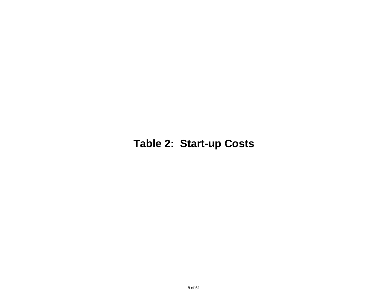# **Table 2: Start-up Costs**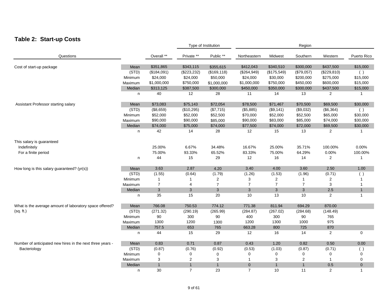#### **Table 2: Start-up Costs**

|                                                           |              |                |                | Type of Institution |                |                  | Region         |                |              |
|-----------------------------------------------------------|--------------|----------------|----------------|---------------------|----------------|------------------|----------------|----------------|--------------|
| Questions                                                 |              | Overall **     | Private **     | Public **           | Northeastern   | Midwest          | Southern       | Western        | Puerto Rico  |
| Cost of start-up package                                  | Mean         | \$351,865      | \$343,115      | \$355,615           | \$412,043      | \$340,510        | \$300,000      | \$437,500      | \$15,000     |
|                                                           | (STD)        | (\$184,091)    | (\$223,232)    | (\$169, 118)        | (\$264,949)    | (\$175,549)      | (\$79,057)     | (\$229, 810)   | ( )          |
|                                                           | Minimum      | \$24,000       | \$24,000       | \$50,000            | \$24,000       | \$30,000         | \$200,000      | \$275,000      | \$15,000     |
|                                                           | Maximum      | \$1,000,000    | \$750,000      | \$1,000,000         | \$1,000,000    | \$750,000        | \$450,000      | \$600,000      | \$15,000     |
|                                                           | Median       | \$313,125      | \$387,500      | \$300,000           | \$450,000      | \$350,000        | \$300,000      | \$437,500      | \$15,000     |
|                                                           | n            | 40             | 12             | 28                  | 11             | 14               | 13             | $\overline{2}$ | $\mathbf{1}$ |
| Assistant Professor starting salary                       | Mean         | \$73,083       | \$75,143       | \$72,054            | \$78,500       | \$71,467         | \$70,500       | \$69,500       | \$30,000     |
|                                                           | (STD)        | (\$8,659)      | (\$10,295)     | (\$7,715)           | (\$5,885)      | (\$9,141)        | (\$9,032)      | (\$6,364)      | ( )          |
|                                                           | Minimum      | \$52,000       | \$52,000       | \$52,500            | \$70,000       | \$52,000         | \$52,500       | \$65,000       | \$30,000     |
|                                                           | Maximum      | \$90,000       | \$90,000       | \$85,000            | \$90,000       | \$83,000         | \$85,000       | \$74,000       | \$30,000     |
|                                                           | Median       | \$74,000       | \$75,000       | \$74,000            | \$77,500       | \$74,000         | \$72,000       | \$69,500       | \$30,000     |
|                                                           | n            | 42             | 14             | 28                  | 12             | 15               | 13             | 2              |              |
| This salary is guaranteed                                 |              |                |                |                     |                |                  |                |                |              |
| Indefinitely                                              |              | 25.00%         | 6.67%          | 34.48%              | 16.67%         | 25.00%           | 35.71%         | 100.00%        | 0.00%        |
| For a finite period                                       |              | 75.00%         | 93.33%         | 65.52%              | 83.33%         | 75.00%           | 64.29%         | 0.00%          | 100.00%      |
|                                                           | n            | 44             | 15             | 29                  | 12             | 16               | 14             | 2              | 1            |
| How long is this salary guaranteed? $(yr(s))$             | Mean         | 3.63           | 2.87           | 4.20                | 3.40           | 4.00             | 3.60           | 2.50           | 1.00         |
|                                                           | (STD)        | (1.55)         | (0.64)         | (1.79)              | (1.26)         | (1.53)           | (1.96)         | (0.71)         | $($ )        |
|                                                           | Minimum      | $\mathbf{1}$   | 1              | 2                   | 3              | 2                | 1              | $\overline{2}$ | 1            |
|                                                           | Maximum      | $\overline{7}$ | 4              | $\overline{7}$      | $\overline{7}$ | $\boldsymbol{7}$ | 7              | $\sqrt{3}$     | 1            |
|                                                           | Median       | $\mathbf{3}$   | 3              | 3                   | 3              | 3                | 3              | 2.5            | $\mathbf{1}$ |
|                                                           | n            | 35             | 15             | 20                  | 10             | 13               | 10             | $\overline{2}$ | 1            |
| What is the average amount of laboratory space offered?   | Mean         | 766.08         | 750.53         | 774.12              | 771.38         | 811.94           | 694.29         | 870.00         |              |
| (sq. ft.)                                                 | (STD)        | (271.32)       | (290.19)       | (265.99)            | (284.87)       | (267.02)         | (284.68)       | (148.49)       |              |
|                                                           | Minimum      | 90             | 300            | 90                  | 400            | 300              | 90             | 765            |              |
|                                                           | Maximum      | 1300           | 1200           | 1300                | 1200           | 1300             | 1000           | 975            |              |
|                                                           | Median       | 757.5          | 653            | 765                 | 663.28         | 800              | 725            | 870            |              |
|                                                           | $\mathsf{n}$ | 44             | 15             | 29                  | 12             | 16               | 14             | $\overline{2}$ | 0            |
| Number of anticipated new hires in the next three years - | Mean         | 0.83           | 0.71           | 0.87                | 0.43           | 1.20             | 0.82           | 0.50           | 0.00         |
| Bacteriology                                              | (STD)        | (0.87)         | (0.76)         | (0.92)              | (0.53)         | (1.03)           | (0.87)         | (0.71)         | ( )          |
|                                                           | Minimum      | 0              | 0              | 0                   | $\mathbf 0$    | 0                | 0              | 0              | 0            |
|                                                           | Maximum      | 3              | 2              | 3                   | -1             | 3                | $\overline{2}$ | $\mathbf{1}$   | 0            |
|                                                           | Median       | $\mathbf{1}$   | $\mathbf{1}$   | $\mathbf{1}$        | $\overline{0}$ | $\mathbf{1}$     | $\mathbf{1}$   | 0.5            | $\mathbf 0$  |
|                                                           | n            | 30             | $\overline{7}$ | 23                  | $\overline{7}$ | 10               | 11             | 2              | $\mathbf{1}$ |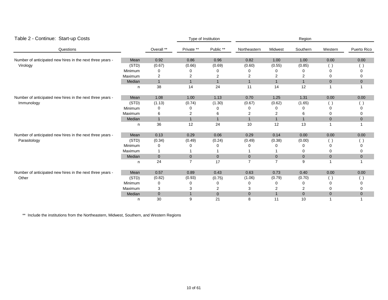| Table 2 - Continue: Start-up Costs                        |         |                |                | Type of Institution |                |                | Region       |                  |             |
|-----------------------------------------------------------|---------|----------------|----------------|---------------------|----------------|----------------|--------------|------------------|-------------|
| Questions                                                 |         | Overall **     | Private **     | Public **           | Northeastern   | Midwest        | Southern     | Western          | Puerto Rico |
| Number of anticipated new hires in the next three years - | Mean    | 0.92           | 0.86           | 0.96                | 0.82           | 1.00           | 1.00         | 0.00             | $0.00\,$    |
| Virology                                                  | (STD)   | (0.67)         | (0.66)         | (0.69)              | (0.60)         | (0.55)         | (0.85)       | $\left( \right)$ |             |
|                                                           | Minimum | 0              |                |                     | 0              |                |              |                  |             |
|                                                           | Maximum | $\overline{c}$ | 2              | 2                   | 2              | 2              | 2            | 0                |             |
|                                                           | Median  | $\mathbf{1}$   | 1              | $\mathbf{1}$        | $\mathbf{1}$   | $\mathbf{1}$   | $\mathbf{1}$ | $\mathbf{0}$     | 0           |
|                                                           | n       | 38             | 14             | 24                  | 11             | 14             | 12           |                  |             |
| Number of anticipated new hires in the next three years - | Mean    | 1.08           | 1.00           | 1.13                | 0.70           | 1.25           | 1.31         | 0.00             | 0.00        |
| Immunology                                                | (STD)   | (1.13)         | (0.74)         | (1.30)              | (0.67)         | (0.62)         | (1.65)       | $\left($         |             |
|                                                           | Minimum | 0              | 0              |                     | 0              |                | 0            |                  |             |
|                                                           | Maximum | 6              | 2              | 6                   | 2              | 2              |              |                  |             |
|                                                           | Median  | $\mathbf{1}$   |                | $\mathbf{1}$        | $\mathbf{1}$   | $\mathbf{1}$   | $\mathbf{1}$ | $\mathbf{0}$     | $\mathbf 0$ |
|                                                           | n       | 36             | 12             | 24                  | 10             | 12             | 13           |                  |             |
| Number of anticipated new hires in the next three years - | Mean    | 0.13           | 0.29           | 0.06                | 0.29           | 0.14           | 0.00         | 0.00             | 0.00        |
| Parasitology                                              | (STD)   | (0.34)         | (0.49)         | (0.24)              | (0.49)         | (0.38)         | (0.00)       | (                |             |
|                                                           | Minimum | 0              |                |                     | n              | Ω              | 0            |                  |             |
|                                                           | Maximum | $\mathbf{1}$   |                |                     |                |                | 0            |                  | 0           |
|                                                           | Median  | $\overline{0}$ | $\mathbf{0}$   | $\overline{0}$      | $\overline{0}$ | $\mathbf{0}$   | $\mathbf 0$  | $\mathbf 0$      | $\mathbf 0$ |
|                                                           | n       | 24             | $\overline{7}$ | 17                  | $\overline{7}$ | $\overline{7}$ | 9            | $\overline{1}$   | -1          |
| Number of anticipated new hires in the next three years - | Mean    | 0.57           | 0.89           | 0.43                | 0.63           | 0.73           | 0.40         | 0.00             | $0.00\,$    |
| Other                                                     | (STD)   | (0.82)         | (0.93)         | (0.75)              | (1.06)         | (0.79)         | (0.70)       | $\left($         |             |
|                                                           | Minimum | 0              | 0              | 0                   | 0              | 0              | 0            |                  |             |
|                                                           | Maximum | 3              | 3              | 2                   | 3              | 2              | 2            |                  |             |
|                                                           | Median  | $\pmb{0}$      |                | $\mathbf{0}$        | $\overline{0}$ | $\mathbf{1}$   | $\pmb{0}$    | $\mathbf 0$      | 0           |
|                                                           | n       | 30             | 9              | 21                  | 8              | 11             | 10           |                  |             |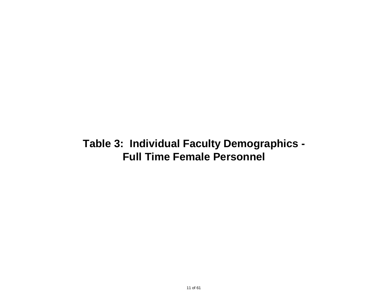### **Table 3: Individual Faculty Demographics - Full Time Female Personnel**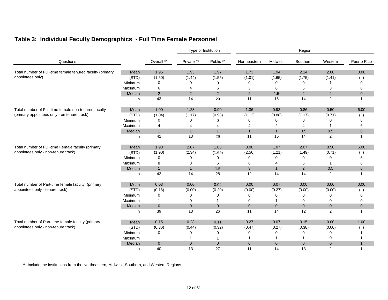|                                                           |         |                |                | Type of Institution |                | Region         |                |                |              |  |  |
|-----------------------------------------------------------|---------|----------------|----------------|---------------------|----------------|----------------|----------------|----------------|--------------|--|--|
| Questions                                                 |         | Overall **     | Private **     | Public **           | Northeastern   | Midwest        | Southern       | Western        | Puerto Rico  |  |  |
| Total number of Full-time female tenured faculty (primary | Mean    | 1.95           | 1.93           | 1.97                | 1.73           | 1.94           | 2.14           | 2.00           | 0.00         |  |  |
| appointees only)                                          | (STD)   | (1.50)         | (1.44)         | (1.55)              | (1.01)         | (1.65)         | (1.75)         | (1.41)         | ( )          |  |  |
|                                                           | Minimum | 0              | 0              | 0                   | 0              | 0              | 0              |                | 0            |  |  |
|                                                           | Maximum | 6              | 4              | 6                   | 3              | 6              | 5              | 3              | 0            |  |  |
|                                                           | Median  | 2              | $\overline{2}$ | 2                   | 2              | 1.5            | 2              | 2              | $\mathbf 0$  |  |  |
|                                                           | n       | 43             | 14             | 29                  | 11             | 16             | 14             | 2              | $\mathbf{1}$ |  |  |
| Total number of Full-time female non-tenured faculty      | Mean    | 1.00           | 1.23           | 0.90                | 1.36           | 0.93           | 0.86           | 0.50           | 6.00         |  |  |
| (primary appointees only - on tenure track)               | (STD)   | (1.04)         | (1.17)         | (0.98)              | (1.12)         | (0.88)         | (1.17)         | (0.71)         | (            |  |  |
|                                                           | Minimum | 0              | 0              | 0                   | 0              | 0              | 0              | $\Omega$       | 6            |  |  |
|                                                           | Maximum | 4              | 4              | 4                   | 4              | $\overline{2}$ | 4              | -1             | 6            |  |  |
|                                                           | Median  | $\mathbf{1}$   | $\mathbf{1}$   | $\overline{1}$      | $\mathbf{1}$   | $\mathbf{1}$   | 0.5            | 0.5            | 6            |  |  |
|                                                           | n       | 42             | 13             | 29                  | 11             | 15             | 14             | 2              | $\mathbf{1}$ |  |  |
| Total number of Full-time Female faculty (primary         | Mean    | 1.93           | 2.07           | 1.86                | 3.00           | 1.07           | 2.07           | 0.50           | 6.00         |  |  |
| appointees only - non-tenure track)                       | (STD)   | (1.90)         | (2.34)         | (1.69)              | (2.56)         | (1.21)         | (1.49)         | (0.71)         | ( )          |  |  |
|                                                           | Minimum | 0              | 0              | 0                   | 0              | 0              | $\Omega$       | $\Omega$       | 6            |  |  |
|                                                           | Maximum | 8              | 8              | 6                   | 8              | 4              | 6              | -1             | 6            |  |  |
|                                                           | Median  | $\mathbf{1}$   | $\mathbf{1}$   | 1.5                 | 3              | $\mathbf{1}$   | $\overline{2}$ | 0.5            | 6            |  |  |
|                                                           | n       | 42             | 14             | 28                  | 12             | 14             | 14             | 2              | $\mathbf{1}$ |  |  |
| Total number of Part-time female faculty (primary         | Mean    | 0.03           | 0.00           | 0.04                | 0.00           | 0.07           | 0.00           | 0.00           | 0.00         |  |  |
| appointees only - tenure track)                           | (STD)   | (0.16)         | (0.00)         | (0.20)              | (0.00)         | (0.27)         | (0.00)         | (0.00)         | ( )          |  |  |
|                                                           | Minimum | 0              | $\Omega$       | $\Omega$            | 0              | $\Omega$       | 0              | $\Omega$       | $\Omega$     |  |  |
|                                                           | Maximum | $\mathbf{1}$   | 0              |                     | 0              |                | 0              | 0              | 0            |  |  |
|                                                           | Median  | $\overline{0}$ | $\overline{0}$ | $\mathbf{0}$        | $\overline{0}$ | $\mathbf{0}$   | $\mathbf{0}$   | $\overline{0}$ | $\mathbf 0$  |  |  |
|                                                           | n       | 39             | 13             | 26                  | 11             | 14             | 12             | 2              | $\mathbf{1}$ |  |  |
| Total number of Part-time female faculty (primary         | Mean    | 0.15           | 0.23           | 0.11                | 0.27           | 0.07           | 0.15           | 0.00           | 1.00         |  |  |
| appointees only - non-tenure track)                       | (STD)   | (0.36)         | (0.44)         | (0.32)              | (0.47)         | (0.27)         | (0.38)         | (0.00)         | $($ )        |  |  |
|                                                           | Minimum | $\mathbf 0$    | 0              | 0                   | 0              | 0              | 0              | 0              |              |  |  |
|                                                           | Maximum | $\mathbf{1}$   | 1              |                     |                |                |                | 0              |              |  |  |
|                                                           | Median  | $\overline{0}$ | $\overline{0}$ | $\mathbf{0}$        | $\overline{0}$ | $\overline{0}$ | $\mathbf{0}$   | $\mathbf 0$    | $\mathbf{1}$ |  |  |
|                                                           | n       | 40             | 13             | 27                  | 11             | 14             | 13             | 2              | $\mathbf{1}$ |  |  |

#### **Table 3: Individual Faculty Demographics - Full Time Female Personnel**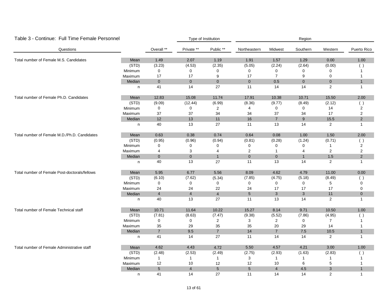| Table 3 - Continue: Full Time Female Personnel |         |                |                | Type of Institution |                |                | Region         |                |                |
|------------------------------------------------|---------|----------------|----------------|---------------------|----------------|----------------|----------------|----------------|----------------|
| Questions                                      |         | Overall **     | Private **     | Public **           | Northeastern   | Midwest        | Southern       | Western        | Puerto Rico    |
| Total number of Female M.S. Candidates         | Mean    | 1.49           | 2.07           | 1.19                | 1.91           | 1.57           | 1.29           | 0.00           | 1.00           |
|                                                | (STD)   | (3.23)         | (4.53)         | (2.35)              | (5.05)         | (2.24)         | (2.64)         | (0.00)         | ( )            |
|                                                | Minimum | 0              | 0              | 0                   | $\mathbf 0$    | 0              | 0              | $\mathbf 0$    | 1              |
|                                                | Maximum | 17             | 17             | 9                   | 17             | $\overline{7}$ | 9              | $\mathbf 0$    | 1              |
|                                                | Median  | $\mathbf{0}$   | $\overline{0}$ | $\overline{0}$      | $\overline{0}$ | 0.5            | $\overline{0}$ | $\mathbf 0$    | $\mathbf{1}$   |
|                                                | n       | 41             | 14             | 27                  | 11             | 14             | 14             | $\overline{2}$ | $\mathbf{1}$   |
| Total number of Female Ph.D. Candidates        | Mean    | 12.83          | 15.08          | 11.74               | 17.91          | 10.38          | 10.71          | 15.50          | 2.00           |
|                                                | (STD)   | (9.09)         | (12.44)        | (6.99)              | (8.36)         | (9.77)         | (8.49)         | (2.12)         | ( )            |
|                                                | Minimum | 0              | 0              | $\overline{2}$      | $\overline{4}$ | 0              | $\mathbf 0$    | 14             | 2              |
|                                                | Maximum | 37             | 37             | 34                  | 34             | 37             | 34             | 17             | 2              |
|                                                | Median  | 12             | 13             | 11                  | 16             | $\overline{7}$ | 9              | 15.5           | $\overline{2}$ |
|                                                | n       | 40             | 13             | 27                  | 11             | 13             | 14             | 2              | 1              |
| Total number of Female M.D./Ph.D. Candidates   | Mean    | 0.63           | 0.38           | 0.74                | 0.64           | 0.08           | 1.00           | 1.50           | 2.00           |
|                                                | (STD)   | (0.95)         | (0.96)         | (0.94)              | (0.81)         | (0.28)         | (1.24)         | (0.71)         | ( )            |
|                                                | Minimum | 0              | 0              | 0                   | $\mathbf 0$    | 0              | 0              | $\mathbf{1}$   | 2              |
|                                                | Maximum | $\overline{4}$ | 3              | $\overline{4}$      | $\overline{c}$ | $\mathbf{1}$   | $\overline{4}$ | $\overline{2}$ | $\overline{2}$ |
|                                                | Median  | $\overline{0}$ | $\mathbf{0}$   | $\mathbf{1}$        | $\overline{0}$ | $\mathbf 0$    | $\mathbf{1}$   | 1.5            | $\overline{c}$ |
|                                                | n       | 40             | 13             | 27                  | 11             | 13             | 14             | 2              | $\mathbf{1}$   |
| Total number of Female Post-doctorals/fellows  | Mean    | 5.95           | 6.77           | 5.56                | 8.09           | 4.62           | 4.79           | 11.00          | 0.00           |
|                                                | (STD)   | (6.10)         | (7.62)         | (5.34)              | (7.85)         | (4.75)         | (5.18)         | (8.49)         | ( )            |
|                                                | Minimum | $\mathbf 0$    | 0              | 0                   | $\mathbf 0$    | 0              | $\mathbf 0$    | 5              | $\Omega$       |
|                                                | Maximum | 24             | 24             | 22                  | 24             | 17             | 17             | 17             | 0              |
|                                                | Median  | $\overline{4}$ | $\overline{4}$ | $\overline{4}$      | 5 <sup>5</sup> | $\mathbf{3}$   | $\mathbf{3}$   | $11$           | $\pmb{0}$      |
|                                                | n       | 40             | 13             | 27                  | 11             | 13             | 14             | $\overline{2}$ | $\mathbf{1}$   |
| Total number of Female Technical staff         | Mean    | 10.71          | 11.64          | 10.22               | 15.27          | 8.14           | 9.71           | 10.50          | 1.00           |
|                                                | (STD)   | (7.81)         | (8.63)         | (7.47)              | (9.38)         | (5.52)         | (7.86)         | (4.95)         | ( )            |
|                                                | Minimum | 0              | 0              | $\overline{2}$      | 3              | $\overline{2}$ | 0              | $\overline{7}$ | 1              |
|                                                | Maximum | 35             | 29             | 35                  | 35             | 20             | 29             | 14             | 1              |
|                                                | Median  | $\overline{7}$ | 9.5            | $\overline{7}$      | 14             | $\overline{7}$ | 7.5            | 10.5           | $\mathbf{1}$   |
|                                                | n       | 41             | 14             | 27                  | 11             | 14             | 14             | $\overline{2}$ | 1              |
| Total number of Female Administrative staff    | Mean    | 4.62           | 4.43           | 4.72                | 5.50           | 4.57           | 4.21           | 3.00           | 1.00           |
|                                                | (STD)   | (2.48)         | (2.53)         | (2.49)              | (2.75)         | (2.93)         | (1.63)         | (2.83)         | ( )            |
|                                                | Minimum | $\mathbf{1}$   | $\mathbf{1}$   | $\mathbf{1}$        | 3              | $\mathbf{1}$   | 1              | $\mathbf{1}$   |                |
|                                                | Maximum | 12             | 10             | 12                  | 12             | 10             | 6              | 5              |                |
|                                                | Median  | 5              | $\overline{4}$ | $5\overline{)}$     | 5 <sup>5</sup> | $\overline{4}$ | 4.5            | 3              | $\mathbf{1}$   |
|                                                | n       | 41             | 14             | 27                  | 11             | 14             | 14             | 2              | $\mathbf{1}$   |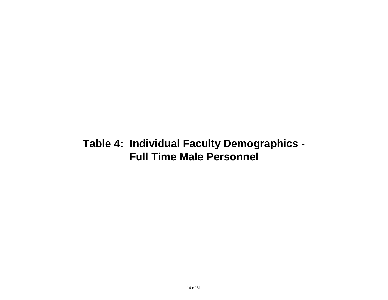### **Table 4: Individual Faculty Demographics - Full Time Male Personnel**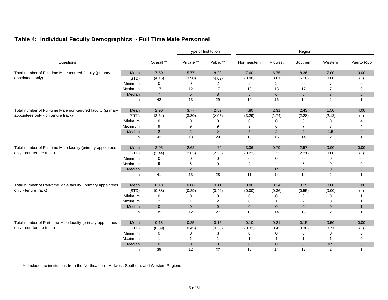#### **Table 4: Individual Faculty Demographics - Full Time Male Personnel**

|                                                                                        |         |                | Type of Institution |                | Region          |                 |                |                |                |  |
|----------------------------------------------------------------------------------------|---------|----------------|---------------------|----------------|-----------------|-----------------|----------------|----------------|----------------|--|
| Questions                                                                              |         | Overall **     | Private **          | Public **      | Northeastern    | Midwest         | Southern       | Western        | Puerto Rico    |  |
| Total number of Full-time Male tenured faculty (primary                                | Mean    | 7.50           | 5.77                | 8.28           | 7.60            | 6.75            | 8.36           | 7.00           | 0.00           |  |
| appointees only)                                                                       | (STD)   | (4.15)         | (3.90)              | (4.09)         | (3.98)          | (3.61)          | (5.18)         | (0.00)         |                |  |
|                                                                                        | Minimum | 0              | $\Omega$            | 2              | 2               | $\overline{2}$  | 0              | 7              | 0              |  |
|                                                                                        | Maximum | 17             | 12                  | 17             | 13              | 13              | 17             | $\overline{7}$ | 0              |  |
|                                                                                        | Median  | $\overline{7}$ | 5                   | 8              | 8               | $6\overline{6}$ | 8              | $\overline{7}$ | $\overline{0}$ |  |
|                                                                                        | n       | 42             | 13                  | 29             | 10              | 16              | 14             | $\overline{2}$ |                |  |
| Total number of Full-time Male non-tenured faculty (primary                            | Mean    | 2.90           | 3.77                | 2.52           | 4.80            | 2.31            | 2.43           | 1.50           | 4.00           |  |
| appointees only - on tenure track)                                                     | (STD)   | (2.54)         | (3.30)              | (2.06)         | (3.29)          | (1.74)          | (2.28)         | (2.12)         |                |  |
|                                                                                        | Minimum | 0              | 0                   | 0              | 0               | 0               | 0              | 0              |                |  |
|                                                                                        | Maximum | 9              | 9                   | 9              | 9               | 6               | $\overline{7}$ | 3              | 4              |  |
|                                                                                        | Median  | $\overline{2}$ | $\overline{2}$      | 2              | $5\phantom{.0}$ | 2               | $\overline{2}$ | 1.5            | $\overline{4}$ |  |
|                                                                                        | n       | 42             | 13                  | 29             | 10              | 16              | 14             | $\overline{2}$ |                |  |
| Total number of Full-time Male faculty (primary appointees<br>only - non-tenure track) | Mean    | 2.05           | 2.62                | 1.79           | 3.36            | 0.79            | 2.57           | 0.00           | 0.00           |  |
|                                                                                        | (STD)   | (2.44)         | (2.63)              | (2.35)         | (3.23)          | (1.12)          | (2.21)         | (0.00)         |                |  |
|                                                                                        | Minimum | 0              | 0                   | 0              | $\Omega$        | 0               | 0              | $\Omega$       | Ω              |  |
|                                                                                        | Maximum | 9              | 8                   | 9              | 9               | 4               | 8              | $\Omega$       | 0              |  |
|                                                                                        | Median  | $\mathbf{1}$   | $\overline{2}$      | $\mathbf{1}$   | 3               | 0.5             | $\overline{2}$ | $\mathbf{0}$   | $\overline{0}$ |  |
|                                                                                        | n       | 41             | 13                  | 28             | 11              | 14              | 14             | $\overline{2}$ | $\mathbf{1}$   |  |
| Total number of Part-time Male faculty (primary appointees                             | Mean    | 0.10           | 0.08                | 0.11           | 0.00            | 0.14            | 0.15           | 0.00           | 1.00           |  |
| only - tenure track)                                                                   | (STD)   | (0.38)         | (0.29)              | (0.42)         | (0.00)          | (0.36)          | (0.55)         | (0.00)         | - 1            |  |
|                                                                                        | Minimum | 0              | $\Omega$            | 0              | $\Omega$        | 0               | 0              | $\Omega$       |                |  |
|                                                                                        | Maximum | 2              |                     | 2              | $\Omega$        |                 | 2              | 0              |                |  |
|                                                                                        | Median  | $\mathbf{0}$   | $\overline{0}$      | $\mathbf{0}$   | $\overline{0}$  | $\overline{0}$  | $\overline{0}$ | $\mathbf 0$    | $\mathbf{1}$   |  |
|                                                                                        | n       | 39             | 12                  | 27             | 10              | 14              | 13             | $\overline{2}$ | -1             |  |
| Total number of Part-time Male faculty (primary appointees                             | Mean    | 0.18           | 0.25                | 0.15           | 0.10            | 0.21            | 0.15           | 0.50           | 0.00           |  |
| only - non-tenure track)                                                               | (STD)   | (0.39)         | (0.45)              | (0.36)         | (0.32)          | (0.43)          | (0.38)         | (0.71)         |                |  |
|                                                                                        | Minimum | 0              | 0                   | 0              | $\Omega$        | 0               | 0              | 0              | ი              |  |
|                                                                                        | Maximum | 1              |                     | -1             |                 |                 |                |                | 0              |  |
|                                                                                        | Median  | $\mathbf{0}$   | $\mathbf{0}$        | $\overline{0}$ | $\overline{0}$  | $\overline{0}$  | $\overline{0}$ | 0.5            | $\overline{0}$ |  |
|                                                                                        | n       | 39             | 12                  | 27             | 10              | 14              | 13             | $\overline{2}$ | 1              |  |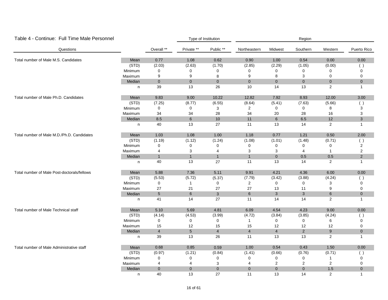| Table 4 - Continue: Full Time Male Personnel |         |                |                 | Type of Institution |                |                | Region         |                |                  |
|----------------------------------------------|---------|----------------|-----------------|---------------------|----------------|----------------|----------------|----------------|------------------|
| Questions                                    |         | Overall **     | Private **      | Public **           | Northeastern   | Midwest        | Southern       | Western        | Puerto Rico      |
| Total number of Male M.S. Candidates         | Mean    | 0.77           | 1.08            | 0.62                | 0.90           | 1.00           | 0.54           | 0.00           | 0.00             |
|                                              | (STD)   | (2.03)         | (2.63)          | (1.70)              | (2.85)         | (2.29)         | (1.05)         | (0.00)         | ( )              |
|                                              | Minimum | $\mathbf 0$    | 0               | 0                   | 0              | 0              | 0              | $\mathbf 0$    | 0                |
|                                              | Maximum | 9              | 9               | 8                   | 9              | 8              | 3              | $\mathbf 0$    | 0                |
|                                              | Median  | $\mathbf 0$    | $\overline{0}$  | $\overline{0}$      | $\overline{0}$ | $\overline{0}$ | $\overline{0}$ | $\mathbf 0$    | $\mathbf 0$      |
|                                              | n       | 39             | 13              | 26                  | 10             | 14             | 13             | $\overline{2}$ | $\mathbf{1}$     |
| Total number of Male Ph.D. Candidates        | Mean    | 9.83           | 9.00            | 10.22               | 12.82          | 7.92           | 8.93           | 12.00          | 3.00             |
|                                              | (STD)   | (7.25)         | (8.77)          | (6.55)              | (8.64)         | (5.41)         | (7.63)         | (5.66)         | ( )              |
|                                              | Minimum | $\mathbf 0$    | $\mathbf 0$     | 3                   | $\overline{2}$ | 0              | 0              | 8              | 3                |
|                                              | Maximum | 34             | 34              | 28                  | 34             | 20             | 28             | 16             | 3                |
|                                              | Median  | 8.5            | 6               | 10                  | 11             | 6              | 6.5            | 12             | 3                |
|                                              | n       | 40             | 13              | 27                  | 11             | 13             | 14             | 2              | 1                |
| Total number of Male M.D./Ph.D. Candidates   | Mean    | 1.03           | 1.08            | 1.00                | 1.18           | 0.77           | 1.21           | 0.50           | 2.00             |
|                                              | (STD)   | (1.19)         | (1.12)          | (1.24)              | (1.08)         | (1.01)         | (1.48)         | (0.71)         | ( )              |
|                                              | Minimum | $\mathbf 0$    | 0               | 0                   | 0              | 0              | 0              | 0              | 2                |
|                                              | Maximum | 4              | 3               | $\overline{4}$      | 3              | 3              | 4              | $\mathbf{1}$   | $\boldsymbol{2}$ |
|                                              | Median  | $\mathbf{1}$   | $\overline{1}$  | $\overline{1}$      | $\overline{1}$ | $\mathbf 0$    | 0.5            | 0.5            | $\overline{2}$   |
|                                              | n       | 40             | 13              | 27                  | 11             | 13             | 14             | 2              | $\mathbf{1}$     |
| Total number of Male Post-doctorals/fellows  | Mean    | 5.88           | 7.36            | 5.11                | 9.91           | 4.21           | 4.36           | 6.00           | 0.00             |
|                                              | (STD)   | (5.53)         | (5.72)          | (5.37)              | (7.79)         | (3.42)         | (3.88)         | (4.24)         | ( )              |
|                                              | Minimum | $\mathbf 0$    | $\mathbf{1}$    | $\mathbf 0$         | $\overline{2}$ | $\mathsf 0$    | $\mathbf 0$    | 3              | $\Omega$         |
|                                              | Maximum | 27             | 21              | 27                  | 27             | 13             | 11             | 9              | 0                |
|                                              | Median  | $\sqrt{5}$     | $6\phantom{1}$  | $\mathbf{3}$        | $\,6\,$        | $\mathbf{3}$   | 3              | 6              | $\pmb{0}$        |
|                                              | n       | 41             | 14              | 27                  | 11             | 14             | 14             | $\overline{2}$ | $\mathbf{1}$     |
| Total number of Male Technical staff         | Mean    | 5.10           | 5.69            | 4.81                | 6.09           | 4.54           | 4.23           | 9.00           | 0.00             |
|                                              | (STD)   | (4.14)         | (4.53)          | (3.99)              | (4.72)         | (3.84)         | (3.85)         | (4.24)         | ( )              |
|                                              | Minimum | 0              | 0               | 0                   | $\mathbf{1}$   | 0              | 0              | 6              | 0                |
|                                              | Maximum | 15             | 12              | 15                  | 15             | 12             | 12             | 12             | 0                |
|                                              | Median  | $\overline{4}$ | $5\phantom{.0}$ | $\overline{4}$      | $\overline{4}$ | $\overline{4}$ | $2^{\circ}$    | $9\,$          | $\mathbf 0$      |
|                                              | n       | 39             | 13              | 26                  | 11             | 13             | 13             | $\overline{2}$ | $\mathbf{1}$     |
| Total number of Male Administrative staff    | Mean    | 0.68           | 0.85            | 0.59                | 1.00           | 0.54           | 0.43           | 1.50           | 0.00             |
|                                              | (STD)   | (0.97)         | (1.21)          | (0.84)              | (1.41)         | (0.66)         | (0.76)         | (0.71)         | $($ )            |
|                                              | Minimum | 0              | 0               | 0                   | $\mathbf 0$    | 0              | 0              | $\mathbf{1}$   | 0                |
|                                              | Maximum | 4              | 4               | 3                   | 4              | $\overline{c}$ | 2              | $\overline{2}$ | $\Omega$         |
|                                              | Median  | $\mathbf{0}$   | $\mathbf{0}$    | $\overline{0}$      | $\overline{0}$ | $\overline{0}$ | $\overline{0}$ | 1.5            | $\pmb{0}$        |
|                                              | n       | 40             | 13              | 27                  | 11             | 13             | 14             | 2              | $\mathbf{1}$     |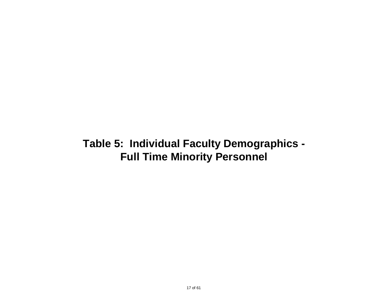### **Table 5: Individual Faculty Demographics - Full Time Minority Personnel**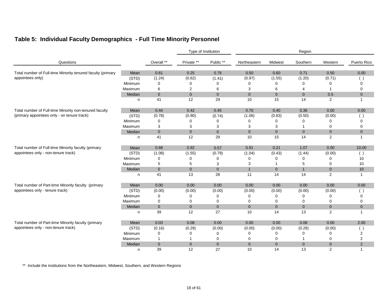|                                                             |         |                |                | Type of Institution |                |                | Region         |                |                |
|-------------------------------------------------------------|---------|----------------|----------------|---------------------|----------------|----------------|----------------|----------------|----------------|
| Questions                                                   |         | Overall **     | Private **     | Public **           | Northeastern   | Midwest        | Southern       | Western        | Puerto Rico    |
| Total number of Full-time Minority tenured faculty (primary | Mean    | 0.61           | 0.25           | 0.76                | 0.50           | 0.60           | 0.71           | 0.50           | 0.00           |
| appointees only)                                            | (STD)   | (1.24)         | (0.62)         | (1.41)              | (0.97)         | (1.55)         | (1.20)         | (0.71)         |                |
|                                                             | Minimum | 0              | 0              | 0                   | 0              | 0              | 0              | O              | $\Omega$       |
|                                                             | Maximum | 6              | $\overline{2}$ | 6                   | 3              | 6              | 4              | $\mathbf{1}$   | 0              |
|                                                             | Median  | $\overline{0}$ | $\overline{0}$ | $\mathbf{0}$        | $\overline{0}$ | $\overline{0}$ | $\overline{0}$ | 0.5            | $\mathbf{0}$   |
|                                                             | n.      | 41             | 12             | 29                  | 10             | 15             | 14             | 2              | -1             |
| Total number of Full-time Minority non-tenured faculty      | Mean    | 0.44           | 0.42           | 0.45                | 0.70           | 0.40           | 0.36           | 0.00           | 0.00           |
| (primary appointees only - on tenure track)                 | (STD)   | (0.78)         | (0.90)         | (0.74)              | (1.06)         | (0.83)         | (0.50)         | (0.00)         |                |
|                                                             | Minimum | 0              | 0              | 0                   | 0              | 0              | 0              | 0              | 0              |
|                                                             | Maximum | 3              | 3              | 3                   | 3              | 3              | -1             | 0              | 0              |
|                                                             | Median  | $\mathbf 0$    | $\mathbf 0$    | $\overline{0}$      | $\overline{0}$ | $\mathbf 0$    | $\overline{0}$ | $\mathbf{0}$   | $\mathbf 0$    |
|                                                             | n       | 41             | 12             | 29                  | 10             | 15             | 14             | 2              | -1             |
| Total number of Full-time Minority faculty (primary         | Mean    | 0.68           | 0.92           | 0.57                | 0.91           | 0.21           | 1.07           | 0.00           | 10.00          |
| appointees only - non-tenure track)                         | (STD)   | (1.08)         | (1.55)         | (0.79)              | (1.04)         | (0.43)         | (1.44)         | (0.00)         | ( )            |
|                                                             | Minimum | 0              | 0              | 0                   | 0              | 0              | 0              | $\Omega$       | 10             |
|                                                             | Maximum | 5              | 5              | 3                   | 3              |                | 5              | $\mathbf 0$    | 10             |
|                                                             | Median  | $\overline{0}$ | $\mathbf 0$    | $\mathbf 0$         | $\mathbf{1}$   | $\mathbf 0$    | $\mathbf{1}$   | $\mathbf 0$    | $10$           |
|                                                             | n       | 41             | 13             | 28                  | 11             | 14             | 14             | $\overline{2}$ |                |
| Total number of Part-time Minority faculty (primary         | Mean    | 0.00           | 0.00           | 0.00                | 0.00           | 0.00           | 0.00           | 0.00           | 0.00           |
| appointees only - tenure track)                             | (STD)   | (0.00)         | (0.00)         | (0.00)              | (0.00)         | (0.00)         | (0.00)         | (0.00)         |                |
|                                                             | Minimum | 0              | $\Omega$       | 0                   | 0              | 0              | 0              | $\Omega$       | 0              |
|                                                             | Maximum | 0              | $\mathbf 0$    | 0                   | 0              | 0              | 0              | 0              | 0              |
|                                                             | Median  | $\overline{0}$ | $\overline{0}$ | $\overline{0}$      | $\overline{0}$ | $\overline{0}$ | $\overline{0}$ | $\mathbf 0$    | $\overline{0}$ |
|                                                             | n       | 39             | 12             | 27                  | 10             | 14             | 13             | $\overline{2}$ | $\mathbf{1}$   |
| Total number of Part-time Minority faculty (primary         | Mean    | 0.03           | 0.08           | 0.00                | 0.00           | 0.00           | 0.08           | 0.00           | 2.00           |
| appointees only - non-tenure track)                         | (STD)   | (0.16)         | (0.29)         | (0.00)              | (0.00)         | (0.00)         | (0.28)         | (0.00)         | $($ )          |
|                                                             | Minimum | 0              | 0              | 0                   | 0              | 0              | 0              | 0              | 2              |
|                                                             | Maximum | $\mathbf{1}$   |                | 0                   | 0              | 0              |                | 0              | $\overline{2}$ |
|                                                             | Median  | $\overline{0}$ | $\mathbf 0$    | $\mathbf{0}$        | $\mathbf{0}$   | $\mathbf{0}$   | $\mathbf{0}$   | $\mathbf 0$    | $\overline{2}$ |
|                                                             | n       | 39             | 12             | 27                  | 10             | 14             | 13             | 2              | -1             |

#### **Table 5: Individual Faculty Demographics - Full Time Minority Personnel**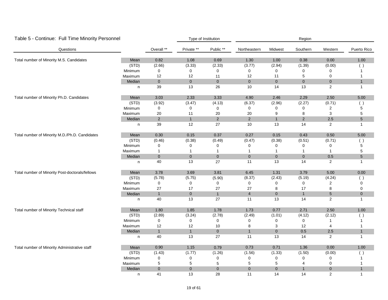| Table 5 - Continue: Full Time Minority Personnel |         |                  |                | Type of Institution |                |                     | Region         |                |              |
|--------------------------------------------------|---------|------------------|----------------|---------------------|----------------|---------------------|----------------|----------------|--------------|
| Questions                                        |         | Overall **       | Private **     | Public **           | Northeastern   | Midwest             | Southern       | Western        | Puerto Rico  |
| Total number of Minority M.S. Candidates         | Mean    | 0.82             | 1.08           | 0.69                | 1.30           | 1.00                | 0.38           | 0.00           | 1.00         |
|                                                  | (STD)   | (2.66)           | (3.33)         | (2.33)              | (3.77)         | (2.94)              | (1.39)         | (0.00)         | ( )          |
|                                                  | Minimum | $\mathbf 0$      | 0              | 0                   | 0              | 0                   | 0              | $\mathbf 0$    | 1            |
|                                                  | Maximum | 12               | 12             | 11                  | 12             | 11                  | 5              | $\mathbf 0$    | 1            |
|                                                  | Median  | $\mathbf 0$      | $\overline{0}$ | $\mathbf 0$         | $\overline{0}$ | $\mathbf 0$         | $\overline{0}$ | $\pmb{0}$      | $\mathbf{1}$ |
|                                                  | n       | 39               | 13             | 26                  | 10             | 14                  | 13             | $\overline{2}$ | $\mathbf{1}$ |
| Total number of Minority Ph.D. Candidates        | Mean    | 3.03             | 2.33           | 3.33                | 4.90           | 2.46                | 2.29           | 2.50           | 5.00         |
|                                                  | (STD)   | (3.92)           | (3.47)         | (4.13)              | (6.37)         | (2.96)              | (2.27)         | (0.71)         | ( )          |
|                                                  | Minimum | $\mathbf 0$      | $\mathbf 0$    | $\mathbf 0$         | $\mathbf 0$    | 0                   | 0              | 2              | 5            |
|                                                  | Maximum | $20\,$           | $11$           | 20                  | 20             | 9                   | 8              | 3              | 5            |
|                                                  | Median  | $\overline{2}$   | $\mathbf{1}$   | $\overline{2}$      | $\overline{2}$ | $\mathbf{1}$        | $\overline{2}$ | 2.5            | 5            |
|                                                  | n       | 39               | 12             | 27                  | 10             | 13                  | 14             | $\overline{c}$ | 1            |
| Total number of Minority M.D./Ph.D. Candidates   | Mean    | 0.30             | 0.15           | 0.37                | 0.27           | 0.15                | 0.43           | 0.50           | 5.00         |
|                                                  | (STD)   | (0.46)           | (0.38)         | (0.49)              | (0.47)         | (0.38)              | (0.51)         | (0.71)         | ( )          |
|                                                  | Minimum | $\mathbf 0$      | 0              | 0                   | 0              | 0                   | 0              | 0              | 5            |
|                                                  | Maximum | $\overline{1}$   | $\mathbf{1}$   | $\overline{1}$      | $\mathbf{1}$   | $\mathbf{1}$        | $\mathbf{1}$   | $\mathbf{1}$   | 5            |
|                                                  | Median  | $\overline{0}$   | $\overline{0}$ | $\mathbf 0$         | $\mathbf{0}$   | $\mathbf 0$         | $\pmb{0}$      | 0.5            | 5            |
|                                                  | n       | 40               | 13             | 27                  | 11             | 13                  | 14             | 2              | $\mathbf{1}$ |
| Total number of Minority Post-doctorals/fellows  | Mean    | 3.78             | 3.69           | 3.81                | 6.45           | 1.31                | 3.79           | 5.00           | 0.00         |
|                                                  | (STD)   | (5.78)           | (5.75)         | (5.90)              | (8.37)         | (2.43)              | (5.19)         | (4.24)         | ( )          |
|                                                  | Minimum | $\boldsymbol{0}$ | 0              | $\mathbf 0$         | 0              | 0                   | $\mathbf 0$    | $\overline{2}$ | 0            |
|                                                  | Maximum | 27               | 17             | 27                  | 27             | 8                   | 17             | 8              | 0            |
|                                                  | Median  | $\mathbf{1}$     | $\overline{0}$ | $\mathbf{1}$        | $\overline{4}$ | $\mathbf 0$         | $\mathbf{1}$   | $\sqrt{5}$     | $\pmb{0}$    |
|                                                  | n       | 40               | 13             | 27                  | 11             | 13                  | 14             | $\overline{2}$ | $\mathbf{1}$ |
| Total number of Minority Technical staff         | Mean    | 1.80             | 1.85           | 1.78                | 1.73           | 0.77                | 2.71           | 2.50           | 1.00         |
|                                                  | (STD)   | (2.89)           | (3.24)         | (2.78)              | (2.49)         | (1.01)              | (4.12)         | (2.12)         | ( )          |
|                                                  | Minimum | 0                | $\pmb{0}$      | 0                   | 0              | 0                   | 0              | $\mathbf{1}$   | 1            |
|                                                  | Maximum | 12               | 12             | 10                  | 8              | 3                   | 12             | 4              | 1            |
|                                                  | Median  | $\mathbf{1}$     | $\mathbf{1}$   | $\mathbf 0$         | $\mathbf{1}$   | $\mathbf 0$         | 0.5            | $2.5\,$        | $\mathbf{1}$ |
|                                                  | n       | $40\,$           | 13             | 27                  | 11             | 13                  | 14             | $\overline{c}$ | 1            |
| Total number of Minority Administrative staff    | Mean    | 0.90             | 1.15           | 0.79                | 0.73           | 0.71                | 1.36           | 0.00           | 1.00         |
|                                                  | (STD)   | (1.43)           | (1.77)         | (1.26)              | (1.56)         | (1.33)              | (1.50)         | (0.00)         | ( )          |
|                                                  | Minimum | 0                | 0              | 0                   | $\mathbf 0$    | 0                   | 0              | $\mathbf 0$    |              |
|                                                  | Maximum | $\,$ 5 $\,$      | 5              | 5                   | $\sqrt{5}$     | 5                   | 4              | $\mathbf 0$    |              |
|                                                  | Median  | $\mathbf{0}$     | $\overline{0}$ | $\overline{0}$      | $\overline{0}$ | $\mathsf{O}\xspace$ | $\mathbf{1}$   | $\mathbf 0$    | $\mathbf{1}$ |
|                                                  | n       | 41               | 13             | 28                  | 11             | 14                  | 14             | 2              | $\mathbf{1}$ |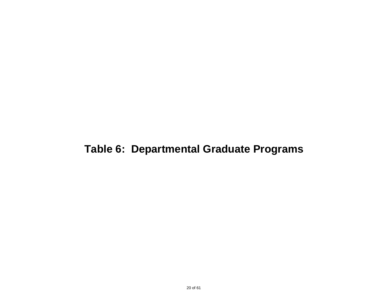### **Table 6: Departmental Graduate Programs**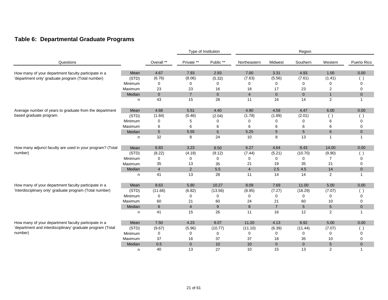### **Table 6: Departmental Graduate Programs**

|                                                            |         |                 |                | Type of Institution |                |                 | Region          |                                                              |                |
|------------------------------------------------------------|---------|-----------------|----------------|---------------------|----------------|-----------------|-----------------|--------------------------------------------------------------|----------------|
| Questions                                                  |         | Overall **      | Private **     | Public **           | Northeastern   | Midwest         | Southern        | Western                                                      | Puerto Rico    |
| How many of your department faculty participate in a       | Mean    | 4.67            | 7.93           | 2.93                | 7.00           | 3.31            | 4.93            | 1.00                                                         | 0.00           |
| 'department only' graduate program (Total number)          | (STD)   | (6.76)          | (8.06)         | (5.32)              | (7.63)         | (5.56)          | (7.61)          | (1.41)                                                       | $($ )          |
|                                                            | Minimum | 0               | 0              | 0                   | 0              | 0               | 0               | 0                                                            | 0              |
|                                                            | Maximum | 23              | 23             | 16                  | 18             | 17              | 23              | $\overline{2}$                                               | $\mathbf 0$    |
|                                                            | Median  | $\mathbf{0}$    | $\overline{7}$ | $\overline{0}$      | $\overline{4}$ | $\mathbf{0}$    | $\mathbf{0}$    | $\mathbf{1}$                                                 | $\mathbf 0$    |
|                                                            | n       | 43              | 15             | 28                  | 11             | 16              | 14              | 2                                                            | $\mathbf{1}$   |
| Average number of years to graduate from the department    | Mean    | 4.68            | 5.51           | 4.40                | 4.90           | 4.59            | 4.47            | 6.00                                                         | 0.00           |
| based graduate program.                                    | (STD)   | (1.84)          | (0.46)         | (2.04)              | (1.78)         | (1.89)          | (2.01)          | $\left( \begin{array}{c} \cdot \\ \cdot \end{array} \right)$ |                |
|                                                            | Minimum | 0               | 5              | 0                   | 0              | 0               | 0               | 6                                                            | 0              |
|                                                            | Maximum | 6               | 6              | 6                   | 6              | 6               | 6               | 6                                                            | 0              |
|                                                            | Median  | $5\phantom{.0}$ | 5.55           | $\sqrt{5}$          | 5.25           | $5\phantom{.0}$ | $5\overline{)}$ | 6                                                            | $\overline{0}$ |
|                                                            | n       | 32              | 8              | 24                  | 10             | 8               | 13              | $\mathbf{1}$                                                 | 1              |
| How many adjunct faculty are used in your program? (Total  | Mean    | 6.83            | 3.23           | 8.50                | 6.27           | 4.64            | 8.43            | 14.00                                                        | 0.00           |
| number)                                                    | (STD)   | (8.22)          | (4.19)         | (9.12)              | (7.44)         | (5.21)          | (10.70)         | (9.90)                                                       | ( )            |
|                                                            | Minimum | $\mathbf 0$     | 0              | 0                   | 0              | 0               | 0               | $\overline{7}$                                               | 0              |
|                                                            | Maximum | 35              | 13             | 35                  | 21             | 19              | 35              | 21                                                           | 0              |
|                                                            | Median  | $\overline{4}$  | 2              | 5.5                 | $\overline{4}$ | 2.5             | 4.5             | 14                                                           | $\mathbf{0}$   |
|                                                            | n       | 41              | 13             | 28                  | 11             | 14              | 14              | 2                                                            | $\mathbf{1}$   |
| How many of your department faculty participate in a       | Mean    | 8.63            | 5.80           | 10.27               | 8.09           | 7.69            | 11.00           | 5.00                                                         | 0.00           |
| 'interdisciplinary only' graduate program (Total number)   | (STD)   | (11.66)         | (6.82)         | (13.56)             | (8.95)         | (7.27)          | (18.29)         | (7.07)                                                       |                |
|                                                            | Minimum | $\mathbf 0$     | 0              | 0                   | 0              | 0               | 0               | 0                                                            | 0              |
|                                                            | Maximum | 60              | 21             | 60                  | 24             | 21              | 60              | 10                                                           | 0              |
|                                                            | Median  | 6               | $\overline{4}$ | $\boldsymbol{9}$    | 8              | $\overline{7}$  | 5               | $\sqrt{5}$                                                   | $\overline{0}$ |
|                                                            | n       | 41              | 15             | 26                  | 11             | 16              | 12              | 2                                                            | $\mathbf{1}$   |
| How many of your department faculty participate in a       | Mean    | 7.50            | 4.23           | 9.07                | 11.20          | 4.13            | 8.92            | 5.00                                                         | 0.00           |
| 'department and interdisciplinary' graduate program (Total | (STD)   | (9.67)          | (5.96)         | (10.77)             | (11.10)        | (6.39)          | (11.44)         | (7.07)                                                       | ( )            |
| number)                                                    | Minimum | 0               | 0              | 0                   | 0              | 0               | 0               | 0                                                            | 0              |
|                                                            | Maximum | 37              | 16             | 37                  | 37             | 18              | 35              | 10                                                           | 0              |
|                                                            | Median  | 0.5             | $\overline{0}$ | 10                  | 10             | $\mathbf{0}$    | $\overline{0}$  | 5                                                            | $\overline{0}$ |
|                                                            | n       | 40              | 13             | 27                  | 10             | 15              | 13              | $\overline{2}$                                               | 1              |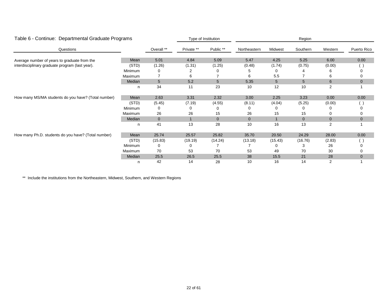| Table 6 - Continue: Departmental Graduate Programs  |         |                | Type of Institution |              | Region         |              |                |                |              |  |
|-----------------------------------------------------|---------|----------------|---------------------|--------------|----------------|--------------|----------------|----------------|--------------|--|
| Questions                                           |         | Overall **     | Private **          | Public **    | Northeastern   | Midwest      | Southern       | Western        | Puerto Rico  |  |
| Average number of years to graduate from the        | Mean    | 5.01           | 4.84                | 5.09         | 5.47           | 4.25         | 5.25           | 6.00           | 0.00         |  |
| interdisciplinary graduate program (last year).     | (STD)   | (1.26)         | (1.31)              | (1.25)       | (0.48)         | (1.74)       | (0.75)         | (0.00)         |              |  |
|                                                     | Minimum | 0              |                     |              |                |              |                |                |              |  |
|                                                     | Maximum |                | 6                   |              | 6              | 5.5          |                | 6              |              |  |
|                                                     | Median  | 5              | 5.2                 | 5            | 5.35           | 5            | 5              | 6              | $\mathbf 0$  |  |
|                                                     | n       | 34             | 11                  | 23           | 10             | 12           | 10             | $\overline{2}$ |              |  |
| How many MS/MA students do you have? (Total number) | Mean    | 2.63           | 3.31                | 2.32         | 3.00           | 2.25         | 3.23           | 0.00           | 0.00         |  |
|                                                     | (STD)   | (5.45)         | (7.19)              | (4.55)       | (8.11)         | (4.04)       | (5.25)         | (0.00)         |              |  |
|                                                     | Minimum | 0              | 0                   | 0            | 0              |              |                |                |              |  |
|                                                     | Maximum | 26             | 26                  | 15           | 26             | 15           | 15             |                |              |  |
|                                                     | Median  | $\overline{0}$ |                     | $\mathbf{0}$ | $\overline{0}$ | $\mathbf{A}$ | $\overline{0}$ | $\mathbf{0}$   | $\mathbf 0$  |  |
|                                                     | n       | 41             | 13                  | 28           | 10             | 16           | 13             | 2              |              |  |
| How many Ph.D. students do you have? (Total number) | Mean    | 25.74          | 25.57               | 25.82        | 35.70          | 20.50        | 24.29          | 28.00          | 0.00         |  |
|                                                     | (STD)   | (15.83)        | (19.19)             | (14.24)      | (13.18)        | (15.43)      | (16.76)        | (2.83)         |              |  |
|                                                     | Minimum | 0              |                     |              |                |              | з              | 26             |              |  |
|                                                     | Maximum | 70             | 53                  | 70           | 53             | 49           | 70             | 30             |              |  |
|                                                     | Median  | 25.5           | 26.5                | 25.5         | 38             | 15.5         | 21             | 28             | $\mathbf{0}$ |  |
|                                                     | n       | 42             | 14                  | 28           | 10             | 16           | 14             | 2              |              |  |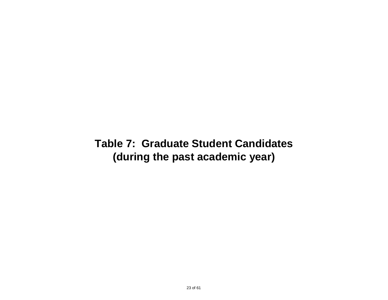### **Table 7: Graduate Student Candidates (during the past academic year)**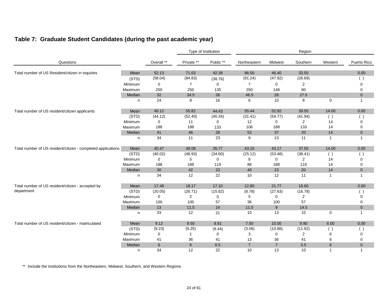|                                                              |         |             |                | Type of Institution |                |                | Region         |                |              |
|--------------------------------------------------------------|---------|-------------|----------------|---------------------|----------------|----------------|----------------|----------------|--------------|
| Questions                                                    |         | Overall **  | Private **     | Public **           | Northeastern   | Midwest        | Southern       | Western        | Puerto Rico  |
| Total number of US Resident/citizen in inquiries             | Mean    | 52.13       | 71.63          | 42.38               | 86.50          | 46.40          | 33.50          |                | 0.00         |
|                                                              | (STD)   | (58.04)     | (84.83)        | (38.76)             | (91.24)        | (47.92)        | (26.69)        |                |              |
|                                                              | Minimum | 0           | $\overline{7}$ | $\mathbf 0$         | $\overline{7}$ | 0              | 2              |                | $\Omega$     |
|                                                              | Maximum | 250         | 250            | 135                 | 250            | 148            | 80             |                | 0            |
|                                                              | Median  | 32          | 34.5           | 26                  | 46.5           | 26             | 27.5           |                | $\mathbf 0$  |
|                                                              | n       | 24          | 8              | 16                  | 6              | 10             | 8              | $\mathbf 0$    | 1            |
| Total number of US resident/citizen applicants               | Mean    | 48.12       | 55.82          | 44.43               | 55.44          | 52.92          | 39.55          | 14.00          | 0.00         |
|                                                              | (STD)   | (44.12)     | (52.40)        | (40.34)             | (31.41)        | (54.77)        | (41.94)        | ( )            |              |
|                                                              | Minimum | $\mathbf 0$ | 11             | $\mathbf 0$         | 12             | 0              | $\overline{2}$ | 14             | 0            |
|                                                              | Maximum | 188         | 188            | 133                 | 106            | 188            | 133            | 14             | 0            |
|                                                              | Median  | 41          | 46             | 28                  | 53             | 37             | 20             | 14             | $\mathbf{0}$ |
|                                                              | n       | 34          | 11             | 23                  | 9              | 13             | 11             | $\overline{1}$ | 1            |
| Total number of US resident/citizen - completed applications | Mean    | 40.47       | 49.08          | 35.77               | 43.10          | 43.17          | 37.55          | 14.00          | 0.00         |
|                                                              | (STD)   | (40.02)     | (48.93)        | (34.60)             | (25.12)        | (53.48)        | (38.41)        | ( )            | ( )          |
|                                                              | Minimum | 0           | 5              | $\mathbf 0$         | 8              | 0              | $\overline{2}$ | 14             | $\Omega$     |
|                                                              | Maximum | 188         | 188            | 119                 | 88             | 188            | 119            | 14             | 0            |
|                                                              | Median  | 30          | 42             | 23                  | 40             | 23             | 20             | 14             | $\mathbf{0}$ |
|                                                              | n       | 34          | 12             | 22                  | 10             | 12             | 11             | $\overline{1}$ | 1            |
| Total number of US resident/citizen - accepted by            | Mean    | 17.48       | 18.17          | 17.10               | 12.80          | 21.77          | 16.60          |                | 0.00         |
| department                                                   | (STD)   | (20.05)     | (26.71)        | (15.82)             | (8.78)         | (27.63)        | (16.78)        |                | $($ )        |
|                                                              | Minimum | 0           | 2              | 0                   | 5              | 0              | 2              |                | 0            |
|                                                              | Maximum | 100         | 100            | 57                  | 36             | 100            | 57             |                | 0            |
|                                                              | Median  | $13$        | 11.5           | 14                  | 11.5           | 9              | 14.5           |                | $\mathbf 0$  |
|                                                              | n       | 33          | 12             | 21                  | 10             | 13             | 10             | $\mathbf 0$    | 1            |
| Total number of US resident/citizen - matriculated           | Mean    | 9.12        | 9.50           | 8.91                | 7.50           | 10.00          | 9.90           | 6.00           | 0.00         |
|                                                              | (STD)   | (9.23)      | (9.25)         | (9.44)              | (3.06)         | (10.88)        | (11.82)        | ( )            | ( )          |
|                                                              | Minimum | 0           | 1              | 0                   | 3              | 0              | 2              | 6              | 0            |
|                                                              | Maximum | 41          | 36             | 41                  | 13             | 36             | 41             | 6              | 0            |
|                                                              | Median  | 6           | 6              | 6.5                 | $\overline{7}$ | $\overline{7}$ | 5.5            | 6              | $\mathbf{0}$ |
|                                                              | n       | 34          | 12             | 22                  | 10             | 13             | 10             | $\overline{1}$ | 1            |

### **Table 7: Graduate Student Candidates (during the past academic year)**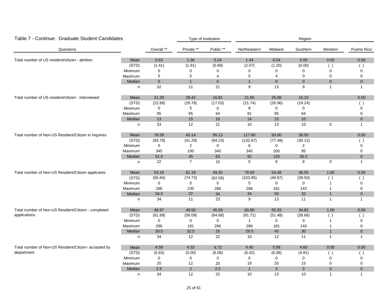| Table 7 - Continue: Graduate Student Candidates      |         |             |                | Type of Institution |              |                | Region         |                |              |
|------------------------------------------------------|---------|-------------|----------------|---------------------|--------------|----------------|----------------|----------------|--------------|
| Questions                                            |         | Overall **  | Private **     | Public **           | Northeastern | Midwest        | Southern       | Western        | Puerto Rico  |
| Total number of US resident/citizen - attrition      | Mean    | 0.63        | 1.36           | 0.24                | 1.44         | 0.54           | 0.00           | 0.00           | 0.00         |
|                                                      | (STD)   | (1.41)      | (1.91)         | (0.89)              | (2.07)       | (1.20)         | (0.00)         | ( )            | $($ )        |
|                                                      | Minimum | 0           | $\Omega$       | 0                   | $\Omega$     | 0              | 0              | $\mathbf 0$    | 0            |
|                                                      | Maximum | 5           | 5              | 4                   | 5            | 4              | 0              | $\mathbf 0$    | $\mathbf 0$  |
|                                                      | Median  | $\pmb{0}$   | $\mathbf{1}$   | $\overline{0}$      | $\mathbf{1}$ | $\overline{0}$ | $\mathbf 0$    | $\mathbf{0}$   | $\mathbf 0$  |
|                                                      | n       | 32          | 11             | 21                  | 9            | 13             | 9              | $\mathbf{1}$   | $\mathbf{1}$ |
| Total number of US resident/citizen - interviewed    | Mean    | 21.39       | 29.42          | 16.81               | 21.90        | 25.08          | 16.10          |                | 0.00         |
|                                                      | (STD)   | (22.89)     | (29.78)        | (17.03)             | (21.74)      | (26.96)        | (19.24)        |                | ( )          |
|                                                      | Minimum | $\mathbf 0$ | 5              | 0                   | 8            | 0              | 0              |                | $\mathbf 0$  |
|                                                      | Maximum | 95          | 95             | 64                  | 81           | 95             | 64             |                | 0            |
|                                                      | Median  | 13          | 15             | 10                  | 14           | 15             | 10             |                | $\mathbf{0}$ |
|                                                      | n       | 33          | 12             | 21                  | 10           | 13             | 10             | $\mathbf 0$    | $\mathbf{1}$ |
| Total number of Non-US Resident/Citizen in inquiries | Mean    | 78.59       | 43.14          | 95.13               | 117.60       | 93.00          | 38.00          |                | 0.00         |
|                                                      | (STD)   | (83.79)     | (41.29)        | (94.23)             | (132.67)     | (77.49)        | (30.12)        |                | ( )          |
|                                                      | Minimum | 0           | $\overline{2}$ | $\mathbf 0$         | 6            | 0              | 2              |                | 0            |
|                                                      | Maximum | 345         | 100            | 345                 | 345          | 200            | 95             |                | $\mathbf 0$  |
|                                                      | Median  | 51.5        | 45             | 63                  | 92           | 120            | 35.5           |                | $\mathbf{0}$ |
|                                                      | n       | 22          | $\overline{7}$ | 15                  | 5            | 9              | 8              | 0              | $\mathbf{1}$ |
| Total number of Non-US Resident/Citizen applicants   | Mean    | 53.18       | 61.18          | 49.35               | 78.00        | 54.08          | 36.55          | 1.00           | 0.00         |
|                                                      | (STD)   | (65.84)     | (74.73)        | (62.58)             | (103.85)     | (49.87)        | (39.50)        | ( )            | ( )          |
|                                                      | Minimum | $\mathsf 0$ | 0              | $\mathbf 0$         | 5            | $\mathbf 0$    | $\mathbf 0$    | $\mathbf{1}$   | 0            |
|                                                      | Maximum | 286         | 230            | 286                 | 286          | 181            | 143            | $\mathbf{1}$   | 0            |
|                                                      | Median  | 34.5        | 37             | 34                  | 34           | 55             | 32             | $\mathbf{1}$   | $\mathbf 0$  |
|                                                      | n       | 34          | 11             | 23                  | 9            | 13             | 11             | $\mathbf{1}$   | $\mathbf{1}$ |
| Total number of Non-US Resident/Citizen - completed  | Mean    | 46.97       | 49.50          | 45.59               | 60.90        | 50.33          | 34.82          | 1.00           | 0.00         |
| applications                                         | (STD)   | (61.89)     | (59.09)        | (64.68)             | (91.71)      | (51.48)        | (39.66)        | ( )            | ( )          |
|                                                      | Minimum | $\pmb{0}$   | 0              | 0                   | $\mathbf{1}$ | $\mathbf 0$    | 0              | $\mathbf{1}$   | $\pmb{0}$    |
|                                                      | Maximum | 286         | 181            | 286                 | 286          | 181            | 143            | $\mathbf 1$    | $\mathbf 0$  |
|                                                      | Median  | 30.5        | 32.5           | 25                  | 29.5         | 45             | 30             | $\mathbf{1}$   | $\mathbf 0$  |
|                                                      | n       | 34          | 12             | 22                  | 10           | 12             | 11             | $\mathbf{1}$   | $\mathbf{1}$ |
| Total number of Non-US Resident/Citizen- accepted by | Mean    | 4.59        | 4.33           | 4.73                | 4.40         | 5.08           | 4.60           | 0.00           | 0.00         |
| department                                           | (STD)   | (5.63)      | (5.00)         | (6.06)              | (6.42)       | (6.08)         | (4.81)         | ( )            |              |
|                                                      | Minimum | 0           | 0              | 0                   | 0            | 0              | 0              | 0              | 0            |
|                                                      | Maximum | 20          | 12             | 20                  | 19           | $20\,$         | 15             | $\mathbf 0$    | $\pmb{0}$    |
|                                                      | Median  | 2.5         | $\overline{2}$ | 2.5                 | $\mathbf{1}$ | $\mathbf{3}$   | $\mathfrak{B}$ | $\mathbf 0$    | $\pmb{0}$    |
|                                                      | n       | 34          | 12             | 22                  | 10           | 13             | 10             | $\overline{1}$ | $\mathbf{1}$ |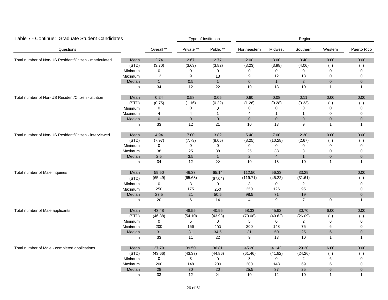| Table 7 - Continue: Graduate Student Candidates        |         |              |             | Type of Institution |                |                     | Region         |                         |              |
|--------------------------------------------------------|---------|--------------|-------------|---------------------|----------------|---------------------|----------------|-------------------------|--------------|
| Questions                                              |         | Overall **   | Private **  | Public **           | Northeastern   | Midwest             | Southern       | Western                 | Puerto Rico  |
| Total number of Non-US Resident/Citizen - matriculated | Mean    | 2.74         | 2.67        | 2.77                | 2.00           | 3.00                | 3.40           | 0.00                    | 0.00         |
|                                                        | (STD)   | (3.70)       | (3.63)      | (3.82)              | (3.23)         | (3.98)              | (4.06)         | ( )                     | $($ )        |
|                                                        | Minimum | 0            | $\mathbf 0$ | 0                   | 0              | 0                   | $\mathbf 0$    | $\Omega$                | 0            |
|                                                        | Maximum | 13           | 9           | 13                  | 9              | 12                  | 13             | $\mathbf 0$             | $\mathbf 0$  |
|                                                        | Median  | $\mathbf{1}$ | $0.5\,$     | $\mathbf{1}$        | $\overline{0}$ | $\mathbf{1}$        | $\overline{2}$ | $\mathbf{0}$            | $\mathbf 0$  |
|                                                        | n       | 34           | 12          | 22                  | 10             | 13                  | 10             | $\overline{1}$          | $\mathbf{1}$ |
| Total number of Non-US Resident/Citizen - attrition    | Mean    | 0.24         | 0.58        | 0.05                | 0.60           | 0.08                | 0.11           | $0.00\,$                | 0.00         |
|                                                        | (STD)   | (0.75)       | (1.16)      | (0.22)              | (1.26)         | (0.28)              | (0.33)         | ( )                     | ( )          |
|                                                        | Minimum | 0            | 0           | $\mathbf 0$         | 0              | 0                   | $\Omega$       | $\Omega$                | $\Omega$     |
|                                                        | Maximum | 4            | 4           | 1                   | 4              | $\mathbf{1}$        | $\mathbf{1}$   | 0                       | 0            |
|                                                        | Median  | $\mathbf 0$  | $\mathbf 0$ | $\overline{0}$      | $\mathbf{0}$   | $\mathbf{0}$        | $\mathbf 0$    | $\mathbf 0$             | $\pmb{0}$    |
|                                                        | n       | 33           | 12          | 21                  | 10             | 13                  | 9              | $\overline{1}$          | $\mathbf{1}$ |
| Total number of Non-US Resident/Citizen - interviewed  | Mean    | 4.94         | 7.00        | 3.82                | 5.40           | 7.00                | 2.30           | 0.00                    | 0.00         |
|                                                        | (STD)   | (7.97)       | (7.73)      | (8.05)              | (8.25)         | (10.28)             | (2.67)         | ( )                     | ( )          |
|                                                        | Minimum | 0            | 0           | 0                   | 0              | 0                   | 0              | $\mathbf 0$             | 0            |
|                                                        | Maximum | 38           | 25          | 38                  | 25             | 38                  | 8              | $\mathbf 0$             | 0            |
|                                                        | Median  | 2.5          | 3.5         | $\mathbf{1}$        | $\overline{2}$ | $\overline{4}$      | $\mathbf{1}$   | $\overline{0}$          | $\mathbf 0$  |
|                                                        | n       | 34           | 12          | 22                  | 10             | 13                  | 10             | $\overline{\mathbf{1}}$ | 1            |
| Total number of Male inquiries                         | Mean    | 59.50        | 46.33       | 65.14               | 112.50         | 56.33               | 33.29          |                         | 0.00         |
|                                                        | (STD)   | (65.49)      | (65.68)     | (67.04)             | (119.71)       | (45.22)             | (31.61)        |                         | ( )          |
|                                                        | Minimum | $\pmb{0}$    | 3           | $\mathsf{O}$        | $\sqrt{3}$     | $\mathsf{O}\xspace$ | $\overline{c}$ |                         | $\Omega$     |
|                                                        | Maximum | 250          | 175         | 250                 | 250            | 126                 | 95             |                         | 0            |
|                                                        | Median  | 27.5         | 21          | $50.5\,$            | 98.5           | $71\,$              | 19             |                         | $\pmb{0}$    |
|                                                        | n       | 20           | 6           | 14                  | $\overline{4}$ | 9                   | $\overline{7}$ | $\mathbf 0$             | $\mathbf{1}$ |
| Total number of Male applicants                        | Mean    | 43.48        | 48.55       | 40.95               | 58.33          | 45.92               | 30.70          | 6.00                    | 0.00         |
|                                                        | (STD)   | (46.88)      | (54.10)     | (43.98)             | (70.08)        | (40.62)             | (26.09)        | ( )                     | ( )          |
|                                                        | Minimum | 0            | 5           | 0                   | 5              | 0                   | $\overline{2}$ | 6                       | 0            |
|                                                        | Maximum | 200          | 156         | 200                 | 200            | 148                 | 75             | 6                       | 0            |
|                                                        | Median  | 31           | 31          | 34.5                | 31             | $50\,$              | 25             | 6                       | $\mathbf 0$  |
|                                                        | n       | 33           | 11          | 22                  | 9              | 13                  | 10             | $\overline{1}$          | $\mathbf{1}$ |
| Total number of Male - completed applications          | Mean    | 37.79        | 39.50       | 36.81               | 45.20          | 41.42               | 29.20          | 6.00                    | 0.00         |
|                                                        | (STD)   | (43.66)      | (43.37)     | (44.86)             | (61.46)        | (41.82)             | (24.26)        | ( )                     | $($ )        |
|                                                        | Minimum | 0            | 3           | 0                   | 3              | 0                   | $\overline{2}$ | 6                       | 0            |
|                                                        | Maximum | 200          | 148         | 200                 | 200            | 148                 | 69             | 6                       | 0            |
|                                                        | Median  | 28           | 30          | 20                  | 25.5           | 37                  | 25             | $6\phantom{1}6$         | $\pmb{0}$    |
|                                                        | n       | 33           | 12          | 21                  | 10             | 12                  | 10             | -1                      | $\mathbf{1}$ |

#### 26 of 61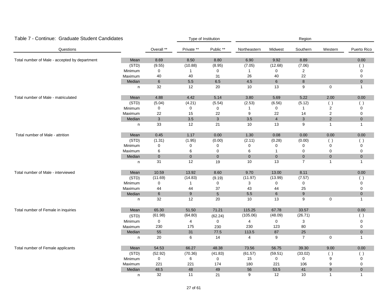| Table 7 - Continue: Graduate Student Candidates |              |                 |                  | Type of Institution |                |                | Region           |                |                |
|-------------------------------------------------|--------------|-----------------|------------------|---------------------|----------------|----------------|------------------|----------------|----------------|
| Questions                                       |              | Overall **      | Private **       | Public **           | Northeastern   | Midwest        | Southern         | Western        | Puerto Rico    |
| Total number of Male - accepted by department   | Mean         | 8.69            | 8.50             | 8.80                | 6.90           | 9.92           | 8.89             |                | 0.00           |
|                                                 | (STD)        | (9.55)          | (10.88)          | (8.95)              | (7.05)         | (12.68)        | (7.06)           |                | ( )            |
|                                                 | Minimum      | $\mathbf 0$     | $\mathbf{1}$     | 0                   | $\mathbf{1}$   | 0              | $\overline{2}$   |                | 0              |
|                                                 | Maximum      | 40              | 40               | 31                  | 26             | 40             | 22               |                | $\mathbf 0$    |
|                                                 | Median       | $\,$ 6 $\,$     | 5.5              | 6.5                 | 4.5            | $\,6\,$        | $\bf 8$          |                | $\overline{0}$ |
|                                                 | n            | 32              | 12               | 20                  | 10             | 13             | 9                | $\mathbf 0$    | $\mathbf{1}$   |
| Total number of Male - matriculated             | Mean         | 4.88            | 4.42             | 5.14                | 3.80           | 5.69           | 5.22             | 2.00           | 0.00           |
|                                                 | (STD)        | (5.04)          | (4.21)           | (5.54)              | (2.53)         | (6.56)         | (5.12)           | ( )            |                |
|                                                 | Minimum      | $\mathbf 0$     | 0                | 0                   | 1              | 0              | $\mathbf{1}$     | 2              | 0              |
|                                                 | Maximum      | 22              | 15               | 22                  | 9              | 22             | 14               | $\overline{c}$ | $\mathbf 0$    |
|                                                 | Median       | $\mathbf{3}$    | 3.5              | $\mathbf{3}$        | 3.5            | $\overline{4}$ | $\mathbf{3}$     | 2              | $\mathbf{0}$   |
|                                                 | $\mathsf{n}$ | 33              | 12               | 21                  | 10             | 13             | 9                | $\mathbf{1}$   | $\mathbf{1}$   |
| Total number of Male - attrition                | Mean         | 0.45            | 1.17             | 0.00                | 1.30           | 0.08           | 0.00             | 0.00           | 0.00           |
|                                                 | (STD)        | (1.31)          | (1.95)           | (0.00)              | (2.11)         | (0.28)         | (0.00)           | ( )            | ( )            |
|                                                 | Minimum      | $\mathbf 0$     | 0                | 0                   | $\mathbf 0$    | 0              | 0                | $\Omega$       | 0              |
|                                                 | Maximum      | 6               | 6                | $\mathbf 0$         | 6              | $\mathbf{1}$   | 0                | $\mathbf 0$    | 0              |
|                                                 | Median       | $\pmb{0}$       | $\overline{0}$   | $\overline{0}$      | $\overline{0}$ | $\mathbf{0}$   | $\pmb{0}$        | $\pmb{0}$      | $\mathbf 0$    |
|                                                 | n            | 31              | 12               | 19                  | 10             | 13             | $\overline{7}$   | $\mathbf{1}$   | $\mathbf{1}$   |
| Total number of Male - interviewed              | Mean         | 10.59           | 13.92            | 8.60                | 9.70           | 13.00          | 8.11             |                | 0.00           |
|                                                 | (STD)        | (11.69)         | (14.83)          | (9.19)              | (11.97)        | (13.99)        | (7.57)           |                | ( )            |
|                                                 | Minimum      | 0               | $\mathbf{1}$     | 0                   | 3              | 0              | 0                |                | 0              |
|                                                 | Maximum      | 44              | 44               | 37                  | 43             | 44             | 25               |                | $\mathbf 0$    |
|                                                 | Median       | $6\phantom{.}6$ | $\boldsymbol{9}$ | $5\phantom{.0}$     | $5.5\,$        | $6\phantom{1}$ | $\boldsymbol{9}$ |                | $\pmb{0}$      |
|                                                 | n            | 32              | 12               | 20                  | 10             | 13             | 9                | $\pmb{0}$      | $\mathbf{1}$   |
| Total number of Female in inquiries             | Mean         | 65.30           | 51.50            | 71.21               | 115.25         | 67.78          | 33.57            |                | 0.00           |
|                                                 | (STD)        | (61.98)         | (64.80)          | (62.24)             | (105.06)       | (48.09)        | (26.71)          |                | ( )            |
|                                                 | Minimum      | 0               | 4                | $\mathbf 0$         | 4              | 0              | 3                |                | $\mathbf 0$    |
|                                                 | Maximum      | 230             | 175              | 230                 | 230            | 123            | 80               |                | 0              |
|                                                 | Median       | 55              | 31               | 77.5                | 113.5          | 87             | 25               |                | $\mathbf 0$    |
|                                                 | n            | 20              | 6                | 14                  | 4              | 9              | $\overline{7}$   | 0              | $\mathbf{1}$   |
| Total number of Female applicants               | Mean         | 54.53           | 66.27            | 48.38               | 73.56          | 56.75          | 39.30            | 9.00           | 0.00           |
|                                                 | (STD)        | (52.92)         | (70.36)          | (41.83)             | (61.57)        | (59.51)        | (33.02)          | ( )            | ( )            |
|                                                 | Minimum      | $\mathbf 0$     | 6                | $\mathbf 0$         | 15             | $\mathbf 0$    | $\mathbf 0$      | 9              | 0              |
|                                                 | Maximum      | 221             | 221              | 174                 | 180            | 221            | 106              | 9              | 0              |
|                                                 | Median       | 48.5            | 48               | 49                  | 56             | 53.5           | 41               | 9              | 0              |
|                                                 | n            | 32              | 11               | 21                  | 9              | 12             | 10               | $\mathbf{1}$   | $\mathbf{1}$   |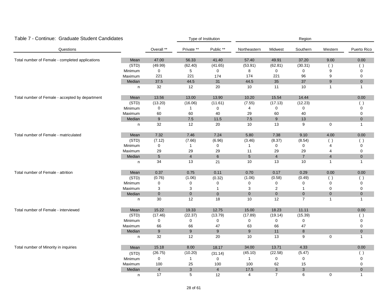| Table 7 - Continue: Graduate Student Candidates |         |                  |                | Type of Institution |                 |                     | Region         |                |              |
|-------------------------------------------------|---------|------------------|----------------|---------------------|-----------------|---------------------|----------------|----------------|--------------|
| Questions                                       |         | Overall **       | Private **     | Public **           | Northeastern    | Midwest             | Southern       | Western        | Puerto Rico  |
| Total number of Female - completed applications | Mean    | 47.00            | 56.33          | 41.40               | 57.40           | 49.91               | 37.20          | 9.00           | 0.00         |
|                                                 | (STD)   | (49.99)          | (62.40)        | (41.65)             | (53.91)         | (62.81)             | (30.31)        | ( )            | ( )          |
|                                                 | Minimum | 0                | 5              | $\mathbf 0$         | 8               | 0                   | $\mathbf 0$    | 9              | 0            |
|                                                 | Maximum | 221              | 221            | 174                 | 174             | 221                 | 96             | 9              | 0            |
|                                                 | Median  | 37.5             | 44.5           | 31                  | 44.5            | 35                  | 37             | $9\,$          | $\mathbf 0$  |
|                                                 | n       | 32               | 12             | 20                  | 10              | 11                  | 10             | $\overline{1}$ | $\mathbf{1}$ |
| Total number of Female - accepted by department | Mean    | 13.56            | 13.00          | 13.90               | 10.20           | 15.54               | 14.44          |                | 0.00         |
|                                                 | (STD)   | (13.20)          | (16.06)        | (11.61)             | (7.55)          | (17.13)             | (12.23)        |                | $($ )        |
|                                                 | Minimum | 0                | $\mathbf{1}$   | 0                   | 4               | 0                   | 0              |                | 0            |
|                                                 | Maximum | 60               | 60             | 40                  | 29              | 60                  | 40             |                | 0            |
|                                                 | Median  | $\boldsymbol{9}$ | $7.5$          | 11.5                | 7.5             | $\boldsymbol{9}$    | 13             |                | $\pmb{0}$    |
|                                                 | n       | 32               | 12             | 20                  | 10              | 13                  | 9              | $\mathbf 0$    | $\mathbf{1}$ |
| Total number of Female - matriculated           | Mean    | 7.32             | 7.46           | 7.24                | 5.80            | 7.38                | 9.10           | 4.00           | 0.00         |
|                                                 | (STD)   | (7.12)           | (7.66)         | (6.96)              | (3.46)          | (8.37)              | (8.54)         | ( )            | ( )          |
|                                                 | Minimum | $\mathsf 0$      | $\mathbf{1}$   | 0                   | $\mathbf{1}$    | $\mathbf 0$         | 0              | 4              | 0            |
|                                                 | Maximum | 29               | 29             | 29                  | 11              | 29                  | 29             | 4              | 0            |
|                                                 | Median  | $\sqrt{5}$       | $\overline{4}$ | $\,6\,$             | $5\phantom{.0}$ | $\overline{4}$      | $\overline{7}$ | $\overline{4}$ | $\pmb{0}$    |
|                                                 | n       | 34               | 13             | 21                  | 10              | 13                  | 10             | $\mathbf{1}$   | $\mathbf{1}$ |
| Total number of Female - attrition              | Mean    | 0.37             | 0.75           | 0.11                | 0.70            | 0.17                | 0.29           | 0.00           | 0.00         |
|                                                 | (STD)   | (0.76)           | (1.06)         | (0.32)              | (1.06)          | (0.58)              | (0.49)         | ( )            | ( )          |
|                                                 | Minimum | 0                | 0              | 0                   | 0               | 0                   | 0              | $\Omega$       | $\Omega$     |
|                                                 | Maximum | 3                | 3              | $\mathbf{1}$        | 3               | $\overline{2}$      | $\mathbf{1}$   | 0              | 0            |
|                                                 | Median  | $\pmb{0}$        | $\pmb{0}$      | $\mathbf 0$         | $\pmb{0}$       | $\mathsf{O}\xspace$ | $\mathbf 0$    | $\pmb{0}$      | $\pmb{0}$    |
|                                                 | n       | 30               | 12             | 18                  | 10              | 12                  | $\overline{7}$ | $\overline{1}$ | $\mathbf{1}$ |
| Total number of Female - interviewed            | Mean    | 15.22            | 19.33          | 12.75               | 15.00           | 18.23               | 11.11          |                | 0.00         |
|                                                 | (STD)   | (17.46)          | (22.37)        | (13.79)             | (17.89)         | (19.14)             | (15.39)        |                | ( )          |
|                                                 | Minimum | 0                | $\mathbf 0$    | 0                   | 0               | 0                   | 0              |                | 0            |
|                                                 | Maximum | 66               | 66             | 47                  | 63              | 66                  | 47             |                | 0            |
|                                                 | Median  | 9                | 9              | $9\,$               | 9               | 11                  | 8              |                | $\mathbf 0$  |
|                                                 | n       | 32               | 12             | 20                  | 10              | 13                  | 9              | $\mathbf 0$    | $\mathbf{1}$ |
| Total number of Minority in inquiries           | Mean    | 15.18            | 8.00           | 18.17               | 34.00           | 13.71               | 4.33           |                | 0.00         |
|                                                 | (STD)   | (26.75)          | (10.20)        | (31.14)             | (45.10)         | (22.58)             | (5.47)         |                | ( )          |
|                                                 | Minimum | 0                | $\mathbf{1}$   | 0                   | $\mathbf{1}$    | 0                   | 0              |                | 0            |
|                                                 | Maximum | 100              | 25             | 100                 | 100             | 62                  | 15             |                | 0            |
|                                                 | Median  | $\overline{4}$   | $\mathbf{3}$   | $\overline{4}$      | 17.5            | $\mathbf{3}$        | $\mathbf{3}$   |                | $\pmb{0}$    |
|                                                 | n       | 17               | 5              | 12                  | 4               | $\overline{7}$      | 6              | $\mathbf 0$    | $\mathbf{1}$ |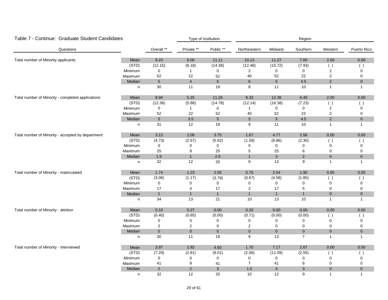| Table 7 - Continue: Graduate Student Candidates   |         |                |                | Type of Institution |                |                 | Region         |                |              |
|---------------------------------------------------|---------|----------------|----------------|---------------------|----------------|-----------------|----------------|----------------|--------------|
| Questions                                         |         | Overall **     | Private **     | Public **           | Northeastern   | Midwest         | Southern       | Western        | Puerto Rico  |
| Total number of Minority applicants               | Mean    | 9.23           | 6.00           | 11.11               | 10.13          | 11.27           | 7.00           | 2.00           | 0.00         |
|                                                   | (STD)   | (12.15)        | (6.18)         | (14.38)             | (12.48)        | (15.72)         | (7.93)         | ( )            | ( )          |
|                                                   | Minimum | 0              | $\mathbf{1}$   | 0                   | $\overline{2}$ | 0               | 0              | $\overline{2}$ | 0            |
|                                                   | Maximum | 52             | 22             | 52                  | 40             | 52              | 22             | $\overline{2}$ | 0            |
|                                                   | Median  | $\sqrt{5}$     | $\overline{4}$ | $5\overline{)}$     | 6              | $5\phantom{.0}$ | $4.5\,$        | $\overline{2}$ | $\pmb{0}$    |
|                                                   | n       | 30             | 11             | 19                  | 8              | 11              | 10             | $\mathbf{1}$   | $\mathbf{1}$ |
| Total number of Minority - completed applications | Mean    | 8.94           | 5.25           | 11.26               | 8.33           | 12.36           | 6.40           | 2.00           | 0.00         |
|                                                   | (STD)   | (12.36)        | (5.88)         | (14.78)             | (12.14)        | (16.38)         | (7.23)         | ( )            | ( )          |
|                                                   | Minimum | $\mathbf 0$    | $\mathbf{1}$   | 0                   | $\mathbf{1}$   | 0               | $\mathbf 0$    | 2              | $\Omega$     |
|                                                   | Maximum | 52             | 22             | 52                  | 40             | 52              | 22             | $\overline{2}$ | 0            |
|                                                   | Median  | $\sqrt{5}$     | 3.5            | $5\phantom{.0}$     | $\sqrt{5}$     | $5\phantom{.0}$ | 4.5            | 2              | $\mathbf 0$  |
|                                                   | n       | 31             | 12             | 19                  | 9              | 11              | 10             | $\overline{1}$ | $\mathbf{1}$ |
| Total number of Minority - accepted by department | Mean    | 3.13           | 2.08           | 3.75                | 1.67           | 4.77            | 2.56           | 0.00           | 0.00         |
|                                                   | (STD)   | (4.73)         | (2.57)         | (5.62)              | (1.58)         | (6.86)          | (2.30)         | ( )            | ( )          |
|                                                   | Minimum | 0              | 0              | 0                   | 0              | 0               | 0              | $\mathbf 0$    | 0            |
|                                                   | Maximum | 25             | 9              | 25                  | 5              | 25              | 6              | $\mathbf 0$    | 0            |
|                                                   | Median  | 1.5            | $\overline{1}$ | 2.5                 | $\overline{1}$ | $\mathfrak{Z}$  | 2              | $\mathbf 0$    | $\pmb{0}$    |
|                                                   | n       | 32             | 12             | 20                  | 9              | 13              | 9              | $\overline{1}$ | $\mathbf{1}$ |
| Total number of Minority - matriculated           | Mean    | 1.74           | 1.23           | 2.05                | 0.70           | 2.54            | 1.90           | 0.00           | 0.00         |
|                                                   | (STD)   | (3.06)         | (1.17)         | (3.79)              | (0.67)         | (4.58)          | (1.85)         | ( )            | ( )          |
|                                                   | Minimum | $\pmb{0}$      | 0              | 0                   | 0              | 0               | 0              | $\mathbf 0$    | 0            |
|                                                   | Maximum | 17             | 4              | 17                  | $\overline{2}$ | 17              | 5              | 0              | 0            |
|                                                   | Median  | $\mathbf{1}$   | $\mathbf{1}$   | $\mathbf{1}$        | $\mathbf{1}$   | $\mathbf{1}$    | $\mathbf{1}$   | $\pmb{0}$      | $\pmb{0}$    |
|                                                   | n       | 34             | 13             | 21                  | 10             | 13              | 10             | $\mathbf{1}$   | $\mathbf{1}$ |
| Total number of Minority - attrition              | Mean    | 0.10           | 0.27           | 0.00                | 0.33           | 0.00            | 0.00           | $0.00\,$       | 0.00         |
|                                                   | (STD)   | (0.40)         | (0.65)         | (0.00)              | (0.71)         | (0.00)          | (0.00)         | ( )            | ( )          |
|                                                   | Minimum | 0              | 0              | 0                   | 0              | 0               | $\pmb{0}$      | $\mathbf 0$    | 0            |
|                                                   | Maximum | 2              | $\overline{c}$ | 0                   | $\overline{c}$ | 0               | $\pmb{0}$      | $\mathbf 0$    | $\pmb{0}$    |
|                                                   | Median  | $\mathbf 0$    | $\overline{0}$ | $\mathbf 0$         | $\mathbf{0}$   | $\mathbf 0$     | $\overline{0}$ | $\mathbf{0}$   | $\mathbf{0}$ |
|                                                   | n       | $30\,$         | 11             | 19                  | 9              | 13              | $\overline{7}$ | $\overline{1}$ | 1            |
| Total number of Minority - interviewed            | Mean    | 3.97           | 2.92           | 4.60                | 1.70           | 7.17            | 2.67           | 0.00           | 0.00         |
|                                                   | (STD)   | (7.29)         | (2.81)         | (9.01)              | (2.06)         | (11.09)         | (2.55)         | ( )            | $($ )        |
|                                                   | Minimum | 0              | 0              | 0                   | 0              | 0               | 0              | $\mathbf 0$    | 0            |
|                                                   | Maximum | 41             | 9              | 41                  | $\overline{7}$ | 41              | 6              | $\mathbf 0$    | $\Omega$     |
|                                                   | Median  | $\overline{2}$ | 2              | 3                   | 1.5            | $\overline{4}$  | $\mathbf{3}$   | $\mathbf{0}$   | $\mathbf 0$  |
|                                                   | n       | 32             | 12             | 20                  | 10             | 12              | 9              | $\overline{1}$ | $\mathbf{1}$ |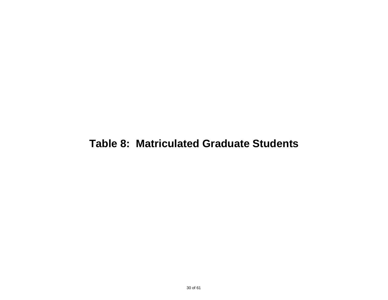### **Table 8: Matriculated Graduate Students**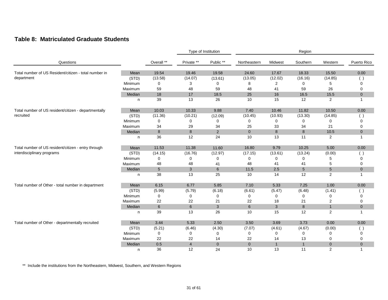#### **Table 8: Matriculated Graduate Students**

|                                                       |         |             |                | Type of Institution |                |                | Region       |                |                |
|-------------------------------------------------------|---------|-------------|----------------|---------------------|----------------|----------------|--------------|----------------|----------------|
| Questions                                             |         | Overall **  | Private **     | Public **           | Northeastern   | Midwest        | Southern     | Western        | Puerto Rico    |
| Total number of US Resident/citizen - total number in | Mean    | 19.54       | 19.46          | 19.58               | 24.60          | 17.67          | 18.33        | 15.50          | 0.00           |
| department                                            | (STD)   | (13.58)     | (14.07)        | (13.61)             | (13.05)        | (12.02)        | (16.16)      | (14.85)        | ( )            |
|                                                       | Minimum | $\mathbf 0$ | 3              | $\mathbf 0$         | 8              | $\overline{2}$ | 0            | 5              | 0              |
|                                                       | Maximum | 59          | 48             | 59                  | 48             | 41             | 59           | 26             | 0              |
|                                                       | Median  | 18          | 17             | 18.5                | 25             | 16             | 16.5         | 15.5           | $\mathbf{0}$   |
|                                                       | n       | 39          | 13             | 26                  | 10             | 15             | 12           | 2              |                |
| Total number of US resident/citizen - departmentally  | Mean    | 10.03       | 10.33          | 9.88                | 7.40           | 10.46          | 11.82        | 10.50          | 0.00           |
| recruited                                             | (STD)   | (11.36)     | (10.21)        | (12.09)             | (10.45)        | (10.93)        | (13.30)      | (14.85)        |                |
|                                                       | Minimum | $\mathbf 0$ | $\Omega$       | 0                   | $\mathbf 0$    | $\Omega$       | 0            | $\Omega$       | 0              |
|                                                       | Maximum | 34          | 29             | 34                  | 25             | 33             | 34           | 21             | 0              |
|                                                       | Median  | 8           | 8              | 2                   | $\overline{0}$ | 8              | 8            | 10.5           | $\overline{0}$ |
|                                                       | n       | 36          | 12             | 24                  | 10             | 13             | 11           | 2              | 1              |
| Total number of US resident/citizen - entry through   | Mean    | 11.53       | 11.38          | 11.60               | 16.80          | 9.79           | 10.25        | 5.00           | 0.00           |
| interdisciplinary programs                            | (STD)   | (14.15)     | (16.76)        | (12.97)             | (17.15)        | (13.61)        | (13.24)      | (0.00)         | ( )            |
|                                                       | Minimum | 0           | 0              | 0                   | 0              | 0              | 0            | 5              | 0              |
|                                                       | Maximum | 48          | 48             | 41                  | 48             | 41             | 41           | 5              | 0              |
|                                                       | Median  | 5           | $\mathbf{3}$   | $6\phantom{1}$      | 11.5           | 2.5            | 5            | $\sqrt{5}$     | $\overline{0}$ |
|                                                       | n       | 38          | 13             | 25                  | 10             | 14             | 12           | $\overline{2}$ | 1              |
| Total number of Other - total number in department    | Mean    | 6.15        | 6.77           | 5.85                | 7.10           | 5.33           | 7.25         | 1.00           | 0.00           |
|                                                       | (STD)   | (5.99)      | (5.79)         | (6.18)              | (6.61)         | (5.47)         | (6.48)       | (1.41)         | $($ )          |
|                                                       | Minimum | $\mathbf 0$ | 0              | 0                   | 0              | 0              | 0            | 0              | 0              |
|                                                       | Maximum | 22          | 22             | 21                  | 22             | 18             | 21           | $\overline{2}$ | 0              |
|                                                       | Median  | 6           | 6              | $\mathbf{3}$        | 6              | 3              | 8            | $\mathbf{1}$   | $\mathbf 0$    |
|                                                       | n       | 39          | 13             | 26                  | 10             | 15             | 12           | $\overline{2}$ | 1              |
| Total number of Other - departmentally recruited      | Mean    | 3.44        | 5.33           | 2.50                | 3.50           | 3.69           | 3.73         | 0.00           | 0.00           |
|                                                       | (STD)   | (5.21)      | (6.46)         | (4.30)              | (7.07)         | (4.61)         | (4.67)       | (0.00)         | (              |
|                                                       | Minimum | $\mathbf 0$ | 0              | 0                   | 0              | 0              | 0            | 0              | 0              |
|                                                       | Maximum | 22          | 22             | 14                  | 22             | 14             | 13           | 0              | 0              |
|                                                       | Median  | 0.5         | $\overline{4}$ | $\overline{0}$      | $\mathbf{0}$   | $\mathbf{1}$   | $\mathbf{1}$ | $\mathbf{0}$   | $\mathbf 0$    |
|                                                       | n       | 36          | 12             | 24                  | 10             | 13             | 11           | $\overline{2}$ | 1              |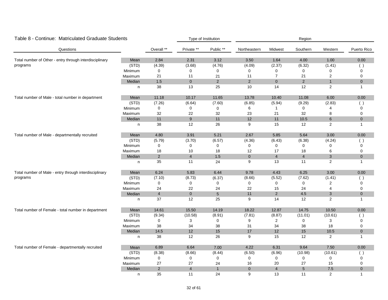| Table 8 - Continue: Matriculated Graduate Students      |         |                |                | Type of Institution |                |                | Region                  |                           |              |
|---------------------------------------------------------|---------|----------------|----------------|---------------------|----------------|----------------|-------------------------|---------------------------|--------------|
| Questions                                               |         | Overall **     | Private **     | Public **           | Northeastern   | Midwest        | Southern                | Western                   | Puerto Rico  |
| Total number of Other - entry through interdisciplinary | Mean    | 2.84           | 2.31           | 3.12                | 3.50           | 1.64           | 4.00                    | 1.00                      | 0.00         |
| programs                                                | (STD)   | (4.39)         | (3.68)         | (4.76)              | (4.09)         | (2.37)         | (6.32)                  | (1.41)                    | $($ )        |
|                                                         | Minimum | $\mathbf 0$    | 0              | $\pmb{0}$           | 0              | 0              | 0                       | $\Omega$                  | 0            |
|                                                         | Maximum | 21             | 11             | 21                  | 11             | $\overline{7}$ | 21                      | $\overline{2}$            | $\mathbf 0$  |
|                                                         | Median  | $1.5$          | $\overline{0}$ | $\overline{2}$      | $\overline{2}$ | $\overline{0}$ | $\overline{2}$          | $\mathbf{1}$              | $\mathbf 0$  |
|                                                         | n       | 38             | 13             | 25                  | 10             | 14             | 12                      | 2                         | $\mathbf{1}$ |
| Total number of Male - total number in department       | Mean    | 11.18          | 10.17          | 11.65               | 13.78          | 10.40          | 11.08                   | 6.00                      | 0.00         |
|                                                         | (STD)   | (7.26)         | (6.64)         | (7.60)              | (6.85)         | (5.94)         | (9.29)                  | (2.83)                    | $($ )        |
|                                                         | Minimum | $\pmb{0}$      | $\mathbf 0$    | $\mathbf 0$         | 6              | $\mathbf{1}$   | 0                       |                           | 0            |
|                                                         | Maximum | 32             | 22             | 32                  | 23             | 21             | 32                      | 8                         | $\pmb{0}$    |
|                                                         | Median  | 11             | 9              | 11                  | 12             | 11             | 10.5                    | $6\phantom{1}$            | $\mathbf{0}$ |
|                                                         | n       | 38             | 12             | 26                  | 9              | 15             | 12                      | 2                         | $\mathbf{1}$ |
| Total number of Male - departmentally recruited         | Mean    | 4.80           | 3.91           | 5.21                | 2.67           | 5.85           | 5.64                    | 3.00                      | 0.00         |
|                                                         | (STD)   | (5.79)         | (3.70)         | (6.57)              | (4.36)         | (6.43)         | (6.38)                  | (4.24)                    |              |
|                                                         | Minimum | 0              | 0              | 0                   | 0              | 0              | 0                       | 0                         | 0            |
|                                                         | Maximum | 18             | $10$           | 18                  | 12             | 17             | 18                      | 6                         | $\mathbf 0$  |
|                                                         | Median  | $\overline{2}$ | $\overline{4}$ | 1.5                 | $\mathbf{0}$   | $\overline{4}$ | $\overline{\mathbf{4}}$ | $\ensuremath{\mathsf{3}}$ | $\pmb{0}$    |
|                                                         | n       | 35             | 11             | 24                  | 9              | 13             | 11                      | 2                         | $\mathbf{1}$ |
| Total number of Male - entry through interdisciplinary  | Mean    | 6.24           | 5.83           | 6.44                | 9.78           | 4.43           | 6.25                    | 3.00                      | 0.00         |
| programs                                                | (STD)   | (7.10)         | (8.73)         | (6.37)              | (8.66)         | (5.52)         | (7.62)                  | (1.41)                    | ( )          |
|                                                         | Minimum | $\mathbf 0$    | 0              | 0                   | 0              | 0              | 0                       | $\overline{2}$            | $\mathbf 0$  |
|                                                         | Maximum | 24             | 22             | 24                  | 22             | 15             | 24                      | $\overline{4}$            | 0            |
|                                                         | Median  | $\overline{4}$ | $\mathbf 0$    | $\sqrt{5}$          | 11             | $\mathbf 2$    | 4.5                     | $\ensuremath{\mathsf{3}}$ | $\pmb{0}$    |
|                                                         | n       | 37             | 12             | 25                  | 9              | 14             | 12                      | 2                         | $\mathbf{1}$ |
| Total number of Female - total number in department     | Mean    | 14.61          | 15.50          | 14.19               | 18.22          | 12.87          | 14.75                   | 10.50                     | 0.00         |
|                                                         | (STD)   | (9.34)         | (10.58)        | (8.91)              | (7.81)         | (8.87)         | (11.01)                 | (10.61)                   | ( )          |
|                                                         | Minimum | 0              | 3              | $\pmb{0}$           | 9              | $\overline{2}$ | 0                       | 3                         | $\pmb{0}$    |
|                                                         | Maximum | 38             | 34             | 38                  | 31             | 34             | 38                      | 18                        | 0            |
|                                                         | Median  | 14.5           | 12             | 15                  | 17             | 12             | 15                      | 10.5                      | $\mathbf 0$  |
|                                                         | n       | 38             | 12             | 26                  | 9              | 15             | 12                      | $\overline{c}$            | $\mathbf{1}$ |
| Total number of Female - departmentally recruited       | Mean    | 6.89           | 6.64           | 7.00                | 4.22           | 6.31           | 9.64                    | 7.50                      | 0.00         |
|                                                         | (STD)   | (8.38)         | (8.66)         | (8.44)              | (6.50)         | (6.96)         | (10.98)                 | (10.61)                   |              |
|                                                         | Minimum | 0              | 0              | 0                   | 0              | 0              | 0                       | 0                         | 0            |
|                                                         | Maximum | 27             | 27             | 24                  | 16             | 20             | 27                      | 15                        | $\pmb{0}$    |
|                                                         | Median  | 2              | $\overline{4}$ | $\mathbf{1}$        | $\overline{0}$ | $\overline{4}$ | $\sqrt{5}$              | 7.5                       | $\pmb{0}$    |
|                                                         | n.      | 35             | 11             | 24                  | 9              | 13             | 11                      | 2                         | $\mathbf{1}$ |

#### 32 of 61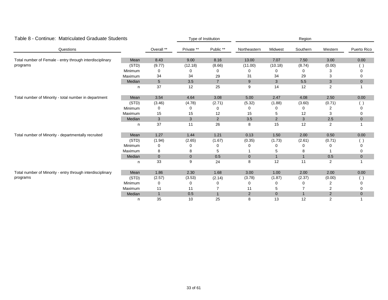| Table 8 - Continue: Matriculated Graduate Students         |         | Type of Institution |             | Region         |                |              |              |                |                |
|------------------------------------------------------------|---------|---------------------|-------------|----------------|----------------|--------------|--------------|----------------|----------------|
| Questions                                                  |         | Overall **          | Private **  | Public **      | Northeastern   | Midwest      | Southern     | Western        | Puerto Rico    |
| Total number of Female - entry through interdisciplinary   | Mean    | 8.43                | 9.00        | 8.16           | 13.00          | 7.07         | 7.50         | 3.00           | 0.00           |
| programs                                                   | (STD)   | (9.77)              | (12.18)     | (8.66)         | (11.00)        | (10.18)      | (8.74)       | (0.00)         | $(\ )$         |
|                                                            | Minimum | 0                   | 0           | 0              | 0              | 0            | 0            | 3              | 0              |
|                                                            | Maximum | 34                  | 34          | 29             | 31             | 34           | 29           | 3              | 0              |
|                                                            | Median  | $5\phantom{.0}$     | 3.5         | $\overline{7}$ | 9              | $\mathbf{3}$ | 5.5          | 3              | $\mathbf 0$    |
|                                                            | n.      | 37                  | 12          | 25             | 9              | 14           | 12           | $\overline{2}$ |                |
| Total number of Minority - total number in department      | Mean    | 3.54                | 4.64        | 3.08           | 5.00           | 2.47         | 4.08         | 2.50           | 0.00           |
|                                                            | (STD)   | (3.46)              | (4.78)      | (2.71)         | (5.32)         | (1.88)       | (3.60)       | (0.71)         | ()             |
|                                                            | Minimum | 0                   | $\Omega$    | 0              |                | O            | 0            | 2              | 0              |
|                                                            | Maximum | 15                  | 15          | 12             | 15             | 5            | 12           | 3              | 0              |
|                                                            | Median  | $\mathbf{3}$        | 3           | $\overline{2}$ | 3.5            | 2            | 3            | 2.5            | $\mathbf 0$    |
|                                                            | n.      | 37                  | 11          | 26             | 8              | 15           | 12           | 2              |                |
| Total number of Minority - departmentally recruited        | Mean    | 1.27                | 1.44        | 1.21           | 0.13           | 1.50         | 2.00         | 0.50           | 0.00           |
|                                                            | (STD)   | (1.94)              | (2.65)      | (1.67)         | (0.35)         | (1.73)       | (2.61)       | (0.71)         | $($ )          |
|                                                            | Minimum | 0                   | 0           | 0              |                | 0            | 0            | 0              | 0              |
|                                                            | Maximum | 8                   | 8           | 5              |                | 5            | 8            |                | 0              |
|                                                            | Median  | $\mathbf{0}$        | $\mathbf 0$ | 0.5            | $\overline{0}$ | $\mathbf{1}$ | $\mathbf{1}$ | 0.5            | $\mathbf 0$    |
|                                                            | n.      | 33                  | 9           | 24             | 8              | 12           | 11           | $\overline{2}$ |                |
| Total number of Minority - entry through interdisciplinary | Mean    | 1.86                | 2.30        | 1.68           | 3.00           | 1.00         | 2.00         | 2.00           | 0.00           |
| programs                                                   | (STD)   | (2.57)              | (3.53)      | (2.14)         | (3.78)         | (1.87)       | (2.37)       | (0.00)         | $\overline{1}$ |
|                                                            | Minimum | 0                   | 0           | 0              |                | 0            |              |                |                |
|                                                            | Maximum | 11                  | 11          |                | 11             | 5            |              | 2              | 0              |
|                                                            | Median  | $\mathbf{1}$        | 0.5         | $\mathbf{1}$   | $\overline{2}$ | $\mathbf{0}$ | $\mathbf{1}$ | 2              | $\mathbf 0$    |
|                                                            | n       | 35                  | 10          | 25             | 8              | 13           | 12           | $\overline{2}$ |                |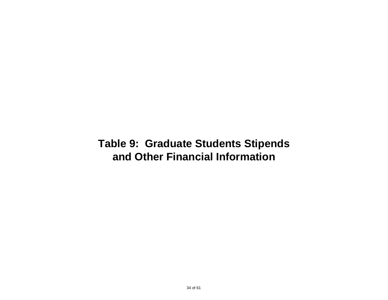### **and Other Financial Information Table 9: Graduate Students Stipends**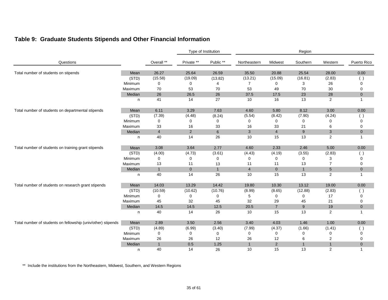|  |  |  |  |  |  |  | Table 9: Graduate Students Stipends and Other Financial Information |
|--|--|--|--|--|--|--|---------------------------------------------------------------------|
|--|--|--|--|--|--|--|---------------------------------------------------------------------|

|                                                              |         |                |                | Type of Institution |                |                | Region       |                |                |
|--------------------------------------------------------------|---------|----------------|----------------|---------------------|----------------|----------------|--------------|----------------|----------------|
| Questions                                                    |         | Overall **     | Private **     | Public **           | Northeastern   | Midwest        | Southern     | Western        | Puerto Rico    |
| Total number of students on stipends                         | Mean    | 26.27          | 25.64          | 26.59               | 35.50          | 20.88          | 25.54        | 28.00          | 0.00           |
|                                                              | (STD)   | (15.58)        | (19.09)        | (13.82)             | (13.21)        | (15.09)        | (16.81)      | (2.83)         |                |
|                                                              | Minimum | $\mathbf 0$    | 0              | 4                   | $\overline{7}$ | 0              | 3            | 26             | $\Omega$       |
|                                                              | Maximum | 70             | 53             | 70                  | 53             | 49             | 70           | 30             | 0              |
|                                                              | Median  | 26             | 26.5           | 26                  | 37.5           | 17.5           | 23           | 28             | $\overline{0}$ |
|                                                              | n       | 41             | 14             | 27                  | 10             | 16             | 13           | $\mathbf{2}$   |                |
| Total number of students on departmental stipends            | Mean    | 6.11           | 3.29           | 7.63                | 4.60           | 5.80           | 8.12         | 3.00           | $0.00\,$       |
|                                                              | (STD)   | (7.39)         | (4.48)         | (8.24)              | (5.54)         | (8.42)         | (7.90)       | (4.24)         |                |
|                                                              | Minimum | 0              | $\Omega$       | 0                   | $\mathbf 0$    | 0              | 0            | 0              | $\Omega$       |
|                                                              | Maximum | 33             | 16             | 33                  | 16             | 33             | 21           | 6              | 0              |
|                                                              | Median  | $\overline{4}$ | $\overline{2}$ | $\,6\,$             | $\mathbf{3}$   | $\overline{4}$ | $9\,$        | 3              | $\overline{0}$ |
|                                                              | n       | 40             | 14             | 26                  | 10             | 15             | 13           | 2              | $\overline{1}$ |
| Total number of students on training grant stipends          | Mean    | 3.08           | 3.64           | 2.77                | 4.60           | 2.33           | 2.46         | 5.00           | 0.00           |
|                                                              | (STD)   | (4.00)         | (4.73)         | (3.61)              | (4.43)         | (4.19)         | (3.55)       | (2.83)         | ( )            |
|                                                              | Minimum | 0              | 0              | 0                   | 0              | 0              | 0            | 3              |                |
|                                                              | Maximum | 13             | 11             | 13                  | 11             | 11             | 13           | $\overline{7}$ | 0              |
|                                                              | Median  | $\mathbf{1}$   | $\overline{0}$ | $\mathbf{1}$        | $\overline{4}$ | $\overline{0}$ | $\mathbf{1}$ | $\sqrt{5}$     | $\overline{0}$ |
|                                                              | n       | 40             | 14             | 26                  | 10             | 15             | 13           | $\overline{2}$ | -1             |
| Total number of students on research grant stipends          | Mean    | 14.03          | 13.29          | 14.42               | 19.80          | 10.30          | 13.12        | 19.00          | 0.00           |
|                                                              | (STD)   | (10.59)        | (10.62)        | (10.76)             | (8.99)         | (8.65)         | (12.88)      | (2.83)         |                |
|                                                              | Minimum | 0              | 0              | 0                   | 5              | 0              | 0            | 17             | $\Omega$       |
|                                                              | Maximum | 45             | 32             | 45                  | 32             | 29             | 45           | 21             | 0              |
|                                                              | Median  | 14.5           | 14.5           | 12.5                | 20.5           | $\overline{7}$ | 9            | 19             | $\overline{0}$ |
|                                                              | n       | 40             | 14             | 26                  | 10             | 15             | 13           | $\overline{2}$ |                |
| Total number of students on fellowship (univ/other) stipends | Mean    | 2.89           | 3.50           | 2.56                | 3.40           | 4.03           | 1.46         | 1.00           | 0.00           |
|                                                              | (STD)   | (4.89)         | (6.99)         | (3.40)              | (7.99)         | (4.37)         | (1.66)       | (1.41)         |                |
|                                                              | Minimum | 0              | 0              | 0                   | 0              | 0              | 0            | 0              | $\Omega$       |
|                                                              | Maximum | 26             | 26             | 12                  | 26             | 12             | 6            | 2              | 0              |
|                                                              | Median  | $\mathbf{1}$   | 0.5            | 1.25                | $\mathbf{1}$   | $\overline{2}$ | $\mathbf{1}$ | $\mathbf{1}$   | $\overline{0}$ |
|                                                              | n       | 40             | 14             | 26                  | 10             | 15             | 13           | 2              | $\mathbf{1}$   |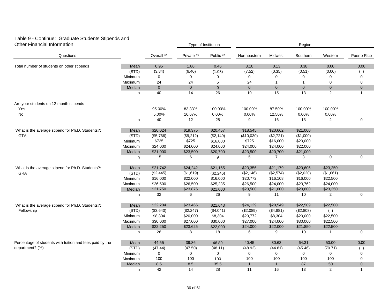### Table 9 - Continue: Graduate Students Stipends and

| <b>Other Financial Information</b>                       |         |             | Type of Institution |             | Region         |                |              |                |              |
|----------------------------------------------------------|---------|-------------|---------------------|-------------|----------------|----------------|--------------|----------------|--------------|
| Questions                                                |         | Overall **  | Private **          | Public **   | Northeastern   | Midwest        | Southern     | Western        | Puerto Rico  |
| Total number of students on other stipends               | Mean    | 0.95        | 1.86                | 0.46        | 3.10           | 0.13           | 0.38         | 0.00           | 0.00         |
|                                                          | (STD)   | (3.84)      | (6.40)              | (1.03)      | (7.52)         | (0.35)         | (0.51)       | (0.00)         | ( )          |
|                                                          | Minimum | 0           | 0                   | 0           | 0              | 0              | 0            |                | $\mathbf 0$  |
|                                                          | Maximum | 24          | 24                  | 5           | 24             | $\mathbf{1}$   | 1            | $\mathbf 0$    | $\mathbf 0$  |
|                                                          | Median  | $\pmb{0}$   | $\overline{0}$      | $\mathbf 0$ | $\overline{0}$ | $\mathbf{0}$   | $\mathbf{0}$ | $\pmb{0}$      | $\pmb{0}$    |
|                                                          | n       | 40          | 14                  | 26          | 10             | 15             | 13           | 2              | $\mathbf{1}$ |
| Are your students on 12-month stipends                   |         |             |                     |             |                |                |              |                |              |
| Yes                                                      |         | 95.00%      | 83.33%              | 100.00%     | 100.00%        | 87.50%         | 100.00%      | 100.00%        |              |
| No                                                       |         | 5.00%       | 16.67%              | 0.00%       | 0.00%          | 12.50%         | 0.00%        | 0.00%          |              |
|                                                          | n       | 40          | 12                  | 28          | 9              | 16             | 13           | $\overline{2}$ | 0            |
| What is the average stipend for Ph.D. Students?:         | Mean    | \$20,024    | \$19,375            | \$20,457    | \$18,545       | \$20,662       | \$21,000     |                |              |
| <b>GTA</b>                                               | (STD)   | (\$5,766)   | (\$9,212)           | (\$2,149)   | (\$10,030)     | (\$2,721)      | (\$1,000)    |                |              |
|                                                          | Minimum | \$725       | \$725               | \$16,000    | \$725          | \$16,000       | \$20,000     |                |              |
|                                                          | Maximum | \$24,000    | \$24,000            | \$24,000    | \$24,000       | \$24,000       | \$22,000     |                |              |
|                                                          | Median  | \$21,000    | \$23,500            | \$20,700    | \$23,500       | \$20,700       | \$21,000     |                |              |
|                                                          | n       | 15          | 6                   | 9           | 5              | $\overline{7}$ | 3            | $\mathbf 0$    | $\pmb{0}$    |
| What is the average stipend for Ph.D. Students?:         | Mean    | \$21,742    | \$24,242            | \$21,165    | \$23,356       | \$21,179       | \$20,606     | \$23,250       |              |
| GRA                                                      | (STD)   | (\$2,445)   | (\$1,619)           | (\$2,246)   | (\$2,146)      | (\$2,574)      | (\$2,020)    | (\$1,061)      |              |
|                                                          | Minimum | \$16,000    | \$22,000            | \$16,000    | \$20,772       | \$16,108       | \$16,000     | \$22,500       |              |
|                                                          | Maximum | \$26,500    | \$26,500            | \$25,235    | \$26,500       | \$24,000       | \$23,762     | \$24,000       |              |
|                                                          | Median  | \$21,750    | \$23,875            | \$21,000    | \$23,500       | \$21,000       | \$20,600     | \$23,250       |              |
|                                                          | n       | 32          | 6                   | 26          | 9              | 11             | 10           | $\overline{2}$ | 0            |
| What is the average stipend for Ph.D. Students?:         | Mean    | \$22,204    | \$23,465            | \$21,643    | \$24,129       | \$20,549       | \$22,509     | \$22,500       |              |
| Fellowship                                               | (STD)   | (\$3,640)   | (\$2,247)           | (\$4,041)   | (\$2,089)      | (\$4,881)      | (\$2,808)    | ( )            |              |
|                                                          | Minimum | \$8,304     | \$20,000            | \$8,304     | \$20,772       | \$8,304        | \$20,000     | \$22,500       |              |
|                                                          | Maximum | \$30,000    | \$27,000            | \$30,000    | \$27,000       | \$24,000       | \$30,000     | \$22,500       |              |
|                                                          | Median  | \$22,250    | \$23,625            | \$22,000    | \$24,000       | \$22,000       | \$21,850     | \$22,500       |              |
|                                                          | n       | 26          | 8                   | 18          | 6              | 9              | 10           | $\overline{1}$ | 0            |
| Percentage of students with tuition and fees paid by the | Mean    | 44.55       | 39.86               | 46.89       | 40.45          | 30.63          | 64.31        | 50.00          | 0.00         |
| department? (%)                                          | (STD)   | (47.44)     | (47.50)             | (48.11)     | (48.92)        | (44.81)        | (45.46)      | (70.71)        | ( )          |
|                                                          | Minimum | $\mathbf 0$ | 0                   | 0           | $\mathbf 0$    | 0              | 0            | $\Omega$       | 0            |
|                                                          | Maximum | 100         | 100                 | 100         | 100            | 100            | 100          | 100            | $\mathbf 0$  |
|                                                          | Median  | 8.5         | 8.5                 | 35.5        | $\mathbf{1}$   | $\mathbf{1}$   | 87           | 50             | $\mathbf 0$  |
|                                                          | n       | 42          | 14                  | 28          | 11             | 16             | 13           | 2              | $\mathbf{1}$ |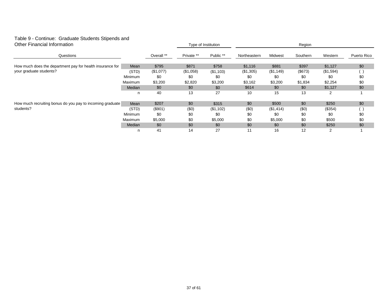### Table 9 - Continue: Graduate Students Stipends and

| <b>Other Financial Information</b>                        |         |            | Type of Institution |           | Region       |           |          |           |             |  |
|-----------------------------------------------------------|---------|------------|---------------------|-----------|--------------|-----------|----------|-----------|-------------|--|
| Questions                                                 |         | Overall ** | Private **          | Public ** | Northeastern | Midwest   | Southern | Western   | Puerto Rico |  |
| How much does the department pay for health insurance for | Mean    | \$795      | \$871               | \$758     | \$1,116      | \$881     | \$397    | \$1,127   | \$0         |  |
| your graduate students?                                   | (STD)   | (\$1,077)  | (\$1,058)           | (\$1,103) | (\$1,305)    | (\$1,149) | (\$673)  | (\$1,594) |             |  |
|                                                           | Minimum | \$0        | \$0                 | \$0       | \$0          | \$0       | \$0      | \$0       | \$0         |  |
|                                                           | Maximum | \$3,200    | \$2,820             | \$3,200   | \$3,162      | \$3,200   | \$1,834  | \$2,254   | \$0         |  |
|                                                           | Median  | \$0        | \$0                 | \$0       | \$614        | \$0       | \$0      | \$1,127   | \$0         |  |
|                                                           | n       | 40         | 13                  | 27        | 10           | 15        | 13       | 2         |             |  |
| How much recruiting bonus do you pay to incoming graduate | Mean    | \$207      | \$0                 | \$315     | \$0          | \$500     | \$0      | \$250     | \$0         |  |
| students?                                                 | (STD)   | (\$901)    | (50)                | (\$1,102) | (50)         | (\$1,414) | (\$0)    | (\$354)   |             |  |
|                                                           | Minimum | \$0        | \$0                 | \$0       | \$0          | \$0       | \$0      | \$0       | \$0         |  |
|                                                           | Maximum | \$5,000    | \$0                 | \$5,000   | \$0          | \$5,000   | \$0      | \$500     | \$0         |  |
|                                                           | Median  | \$0        | \$0                 | \$0       | \$0          | \$0       | \$0      | \$250     | \$0         |  |
|                                                           | n       | 41         | 14                  | 27        | 11           | 16        | 12       | 2         |             |  |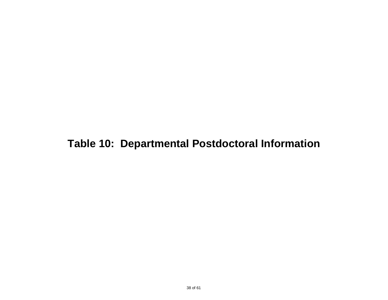# **Table 10: Departmental Postdoctoral Information**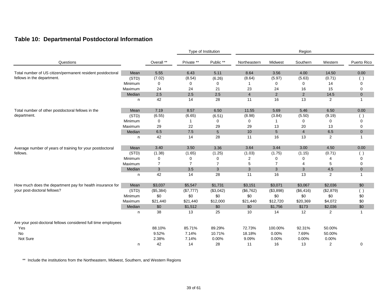#### **Table 10: Departmental Postdoctoral Information**

|                                                               |         |                |                | Type of Institution |                |                | Region         |                |                |
|---------------------------------------------------------------|---------|----------------|----------------|---------------------|----------------|----------------|----------------|----------------|----------------|
| Questions                                                     |         | Overall **     | Private **     | Public **           | Northeastern   | Midwest        | Southern       | Western        | Puerto Rico    |
| Total number of US citizen/permanent resident postdoctoral    | Mean    | 5.55           | 6.43           | 5.11                | 8.64           | 3.56           | 4.00           | 14.50          | 0.00           |
| fellows in the department.                                    | (STD)   | (7.02)         | (8.54)         | (6.26)              | (8.64)         | (5.97)         | (5.63)         | (0.71)         | ( )            |
|                                                               | Minimum | 0              | 0              | 0                   |                | 0              | 0              | 14             | 0              |
|                                                               | Maximum | 24             | 24             | 21                  | 23             | 24             | 16             | 15             | $\mathbf 0$    |
|                                                               | Median  | 2.5            | 2.5            | 2.5                 | $\overline{4}$ | $\overline{2}$ | $\overline{2}$ | 14.5           | $\mathbf 0$    |
|                                                               | n.      | 42             | 14             | 28                  | 11             | 16             | 13             | 2              | $\mathbf{1}$   |
| Total number of other postdoctoral fellows in the             | Mean    | 7.19           | 8.57           | 6.50                | 11.55          | 5.69           | 5.46           | 6.50           | 0.00           |
| department.                                                   | (STD)   | (6.55)         | (6.65)         | (6.51)              | (8.98)         | (3.84)         | (5.50)         | (9.19)         | ( )            |
|                                                               | Minimum | 0              |                | 0                   | 0              | 1              | 0              | 0              | 0              |
|                                                               | Maximum | 29             | 22             | 29                  | 29             | 13             | 20             | 13             | 0              |
|                                                               | Median  | 6.5            | 7.5            | $5\phantom{.0}$     | 10             | 5              | $\overline{4}$ | 6.5            | $\overline{0}$ |
|                                                               | n       | 42             | 14             | 28                  | 11             | 16             | 13             | 2              | $\mathbf{1}$   |
| Average number of years of training for your postdoctoral     | Mean    | 3.40           | 3.50           | 3.36                | 3.64           | 3.44           | 3.00           | 4.50           | 0.00           |
| fellows.                                                      | (STD)   | (1.38)         | (1.65)         | (1.25)              | (1.03)         | (1.75)         | (1.15)         | (0.71)         | ( )            |
|                                                               | Minimum | 0              | 0              | 0                   | $\overline{c}$ | 0              | 0              | 4              | 0              |
|                                                               | Maximum | $\overline{7}$ | $\overline{7}$ | $\overline{7}$      | 5              | $\overline{7}$ | 4              | 5              | 0              |
|                                                               | Median  | 3              | 3.5            | 3                   | 3              | 3              | 3              | 4.5            | $\overline{0}$ |
|                                                               | n       | 42             | 14             | 28                  | 11             | 16             | 13             | $\overline{2}$ | $\mathbf{1}$   |
| How much does the department pay for health insurance for     | Mean    | \$3,037        | \$5,547        | \$1,731             | \$3,151        | \$3,071        | \$3,067        | \$2,036        | \$0            |
| your post-doctoral fellows?                                   | (STD)   | (\$5,384)      | (\$7,777)      | (\$3,042)           | (\$6,762)      | (\$3,898)      | (\$6,416)      | (\$2,879)      | ( )            |
|                                                               | Minimum | \$0            | \$0            | \$0                 | \$0            | \$0            | \$0            | \$0            | \$0            |
|                                                               | Maximum | \$21,440       | \$21,440       | \$12,000            | \$21,440       | \$12,720       | \$20,369       | \$4,072        | \$0            |
|                                                               | Median  | \$0            | \$1,512        | \$0                 | \$0            | \$1,756        | \$173          | \$2,036        | \$0            |
|                                                               | n       | 38             | 13             | 25                  | 10             | 14             | 12             | 2              | 1              |
| Are your post-doctoral fellows considered full time employees |         |                |                |                     |                |                |                |                |                |
| Yes                                                           |         | 88.10%         | 85.71%         | 89.29%              | 72.73%         | 100.00%        | 92.31%         | 50.00%         |                |
| <b>No</b>                                                     |         | 9.52%          | 7.14%          | 10.71%              | 18.18%         | 0.00%          | 7.69%          | 50.00%         |                |
| Not Sure                                                      |         | 2.38%          | 7.14%          | 0.00%               | 9.09%          | 0.00%          | 0.00%          | 0.00%          |                |
|                                                               | n       | 42             | 14             | 28                  | 11             | 16             | 13             | 2              | 0              |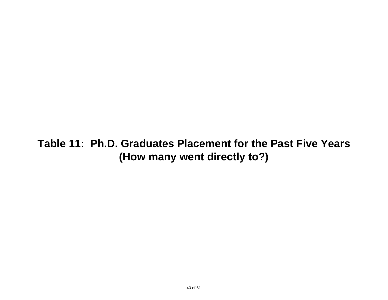### **(How many went directly to?) Table 11: Ph.D. Graduates Placement for the Past Five Years**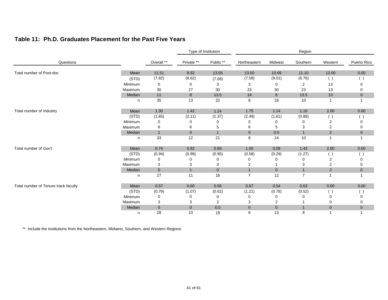#### **Table 11: Ph.D. Graduates Placement for the Past Five Years**

|                                      |         |                |                | Type of Institution |                |                | Region         |                                                              |                |
|--------------------------------------|---------|----------------|----------------|---------------------|----------------|----------------|----------------|--------------------------------------------------------------|----------------|
| Questions                            |         | Overall **     | Private **     | Public **           | Northeastern   | Midwest        | Southern       | Western                                                      | Puerto Rico    |
| Total number of Post-doc             | Mean    | 11.51          | 8.92           | 13.05               | 13.50          | 10.69          | 11.10          | 13.00                                                        | 0.00           |
|                                      | (STD)   | (7.82)         | (8.62)         | (7.06)              | (7.58)         | (9.01)         | (6.76)         | ( )                                                          | - 1            |
|                                      | Minimum | 0              | 0              | 3                   | 3              | 0              | 2              | 13                                                           | 0              |
|                                      | Maximum | 30             | 27             | 30                  | 23             | 30             | 23             | 13                                                           | 0              |
|                                      | Median  | 11             | 8              | 13.5                | 14             | $\bf 8$        | 13.5           | 13                                                           | $\mathbf 0$    |
|                                      | n       | 35             | 13             | 22                  | 8              | 16             | 10             | -1                                                           |                |
| Total number of Industry             | Mean    | 1.30           | 1.42           | 1.24                | 1.75           | 1.14           | 1.10           | 2.00                                                         | 0.00           |
|                                      | (STD)   | (1.65)         | (2.11)         | (1.37)              | (2.49)         | (1.61)         | (0.88)         | $(\ )$                                                       |                |
|                                      | Minimum | 0              | 0              | 0                   | O              | 0              | 0              | $\overline{2}$                                               | 0              |
|                                      | Maximum | 6              | 6              | 5                   | 6              | 5              | 3              | $\overline{2}$                                               | 0              |
|                                      | Median  | $\overline{1}$ | $\mathbf{0}$   | $\mathbf{1}$        | $\overline{0}$ | 0.5            | $\mathbf{1}$   | $\overline{2}$                                               | $\overline{0}$ |
|                                      | n       | 33             | 12             | 21                  | 8              | 14             | 10             | $\mathbf 1$                                                  |                |
| Total number of Gov't                | Mean    | 0.74           | 0.82           | 0.69                | 1.00           | 0.08           | 1.43           | 2.00                                                         | 0.00           |
|                                      | (STD)   | (0.94)         | (0.98)         | (0.95)              | (0.58)         | (0.29)         | (1.27)         | $(\cdot)$                                                    | J.             |
|                                      | Minimum | 0              | 0              | 0                   | 0              | 0              | 0              | $\overline{2}$                                               | 0              |
|                                      | Maximum | 3              | 3              | 3                   | 2              |                | 3              | $\overline{2}$                                               | 0              |
|                                      | Median  | $\mathbf{0}$   | $\overline{1}$ | $\mathbf 0$         | $\overline{1}$ | $\overline{0}$ | $\mathbf{1}$   | $\overline{2}$                                               | $\overline{0}$ |
|                                      | n       | 27             | 11             | 16                  | $\overline{7}$ | 12             | $\overline{7}$ | 1                                                            |                |
| Total number of Tenure track faculty | Mean    | 0.57           | 0.60           | 0.56                | 0.67           | 0.54           | 0.63           | 0.00                                                         | $0.00\,$       |
|                                      | (STD)   | (0.79)         | (1.07)         | (0.62)              | (1.21)         | (0.78)         | (0.52)         | $\left( \begin{array}{c} \cdot \\ \cdot \end{array} \right)$ |                |
|                                      | Minimum | 0              | 0              | 0                   | 0              | 0              |                | 0                                                            | 0              |
|                                      | Maximum | 3              | 3              | $\overline{c}$      | 3              | $\overline{2}$ |                | 0                                                            | 0              |
|                                      | Median  | $\mathbf{0}$   | $\mathbf{0}$   | 0.5                 | $\mathbf{0}$   | $\mathbf 0$    | $\mathbf{1}$   | $\mathbf 0$                                                  | $\overline{0}$ |
|                                      | n       | 28             | 10             | 18                  | 6              | 13             | 8              |                                                              |                |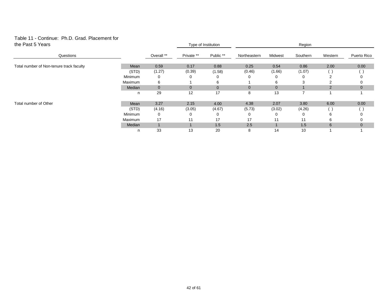#### Table 11 - Continue: Ph.D. Grad. Placement for the Past 5 Years

| the Past 5 Years                         |         | Type of Institution |            |              | Region       |              |          |               |                |  |
|------------------------------------------|---------|---------------------|------------|--------------|--------------|--------------|----------|---------------|----------------|--|
| Questions                                |         | Overall **          | Private ** | Public **    | Northeastern | Midwest      | Southern | Western       | Puerto Rico    |  |
| Total number of Non-tenure track faculty | Mean    | 0.59                | 0.17       | 0.88         | 0.25         | 0.54         | 0.86     | 2.00          | 0.00           |  |
|                                          | (STD)   | (1.27)              | (0.39)     | (1.58)       | (0.46)       | (1.66)       | (1.07)   |               |                |  |
|                                          | Minimum | 0                   |            | 0            | 0            | ∩            | 0        | 2             | $\Omega$       |  |
|                                          | Maximum | 6                   |            | 6            |              | 6            | 3        | $\mathcal{P}$ | $\Omega$       |  |
|                                          | Median  | $\mathbf{0}$        | 0          | $\mathbf{0}$ | 0            | $\mathbf{0}$ |          | 2             | $\mathbf{0}$   |  |
|                                          | n.      | 29                  | 12         | 17           | 8            | 13           |          |               |                |  |
| Total number of Other                    | Mean    | 3.27                | 2.15       | 4.00         | 4.38         | 2.07         | 3.80     | 6.00          | 0.00           |  |
|                                          | (STD)   | (4.16)              | (3.05)     | (4.67)       | (5.73)       | (3.02)       | (4.26)   |               |                |  |
|                                          | Minimum | 0                   |            | 0            | 0            | ∩            | 0        | 6             |                |  |
|                                          | Maximum | 17                  | 11         | 17           | 17           | 11           | 11       | 6             |                |  |
|                                          | Median  | $\mathbf{1}$        |            | 1.5          | 2.5          |              | 1.5      | 6             | $\overline{0}$ |  |
|                                          | n.      | 33                  | 13         | 20           | 8            | 14           | 10       |               |                |  |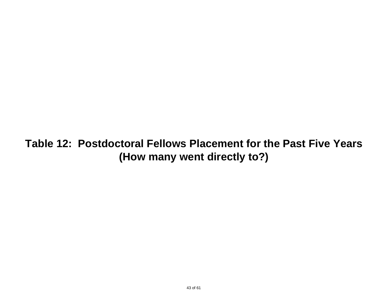**Table 12: Postdoctoral Fellows Placement for the Past Five Years (How many went directly to?)**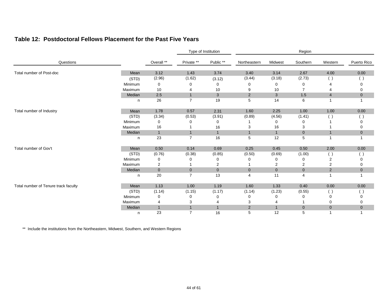#### **Table 12: Postdoctoral Fellows Placement for the Past Five Years**

|                                      |         |                |                | Type of Institution       |                |              | Region         |                |                |
|--------------------------------------|---------|----------------|----------------|---------------------------|----------------|--------------|----------------|----------------|----------------|
| Questions                            |         | Overall **     | Private **     | Public **                 | Northeastern   | Midwest      | Southern       | Western        | Puerto Rico    |
| Total number of Post-doc             | Mean    | 3.12           | 1.43           | 3.74                      | 3.40           | 3.14         | 2.67           | 4.00           | 0.00           |
|                                      | (STD)   | (2.96)         | (1.62)         | (3.12)                    | (3.44)         | (3.18)       | (2.73)         | $(\ )$         | $\Box$         |
|                                      | Minimum | 0              | 0              | 0                         | 0              | 0            | 0              | 4              |                |
|                                      | Maximum | 10             |                | 10                        | 9              | 10           | $\overline{7}$ | 4              | 0              |
|                                      | Median  | $2.5\,$        | $\overline{1}$ | $\ensuremath{\mathsf{3}}$ | 2              | $\sqrt{3}$   | $1.5$          | $\overline{4}$ | $\mathbf 0$    |
|                                      | n       | 26             | $\overline{7}$ | 19                        | 5              | 14           | 6              | 1              |                |
| Total number of Industry             | Mean    | 1.78           | 0.57           | 2.31                      | 1.60           | 2.25         | 1.00           | 1.00           | 0.00           |
|                                      | (STD)   | (3.34)         | (0.53)         | (3.91)                    | (0.89)         | (4.56)       | (1.41)         | $(\ )$         |                |
|                                      | Minimum | 0              | 0              | 0                         |                | 0            | 0              |                |                |
|                                      | Maximum | 16             |                | 16                        | 3              | 16           | 3              |                | 0              |
|                                      | Median  | $\overline{1}$ | $\overline{1}$ | $\mathbf{1}$              | $\overline{1}$ | $\mathbf{1}$ | $\overline{0}$ | $\overline{1}$ | $\overline{0}$ |
|                                      | n       | 23             | $\overline{7}$ | 16                        | 5              | 12           | 5              | $\overline{1}$ |                |
| Total number of Gov't                | Mean    | 0.50           | 0.14           | 0.69                      | 0.25           | 0.45         | 0.50           | 2.00           | 0.00           |
|                                      | (STD)   | (0.76)         | (0.38)         | (0.85)                    | (0.50)         | (0.69)       | (1.00)         | $(\ )$         |                |
|                                      | Minimum | 0              | 0              | 0                         | 0              | 0            | 0              | $\overline{2}$ | $\Omega$       |
|                                      | Maximum | 2              |                | $\overline{2}$            |                | 2            | $\overline{2}$ | $\overline{2}$ | 0              |
|                                      | Median  | $\mathbf 0$    | $\mathbf{0}$   | $\mathbf{0}$              | $\overline{0}$ | $\mathbf 0$  | $\mathbf 0$    | $\sqrt{2}$     | $\mathbf 0$    |
|                                      | n       | 20             | $\overline{7}$ | 13                        | 4              | 11           | 4              | $\mathbf{1}$   |                |
| Total number of Tenure track faculty | Mean    | 1.13           | 1.00           | 1.19                      | 1.60           | 1.33         | 0.40           | $0.00\,$       | 0.00           |
|                                      | (STD)   | (1.14)         | (1.15)         | (1.17)                    | (1.14)         | (1.23)       | (0.55)         | ( )            | $($ )          |
|                                      | Minimum | 0              | 0              | 0                         | 0              | 0            | 0              | 0              | 0              |
|                                      | Maximum | 4              | 3              | 4                         | 3              |              |                | 0              | 0              |
|                                      | Median  | $\mathbf{1}$   | $\overline{1}$ | $\mathbf{1}$              | $\overline{2}$ | $\mathbf{1}$ | $\mathbf 0$    | $\mathbf 0$    | $\mathbf 0$    |
|                                      | n       | 23             | $\overline{7}$ | 16                        | 5              | 12           | 5              |                |                |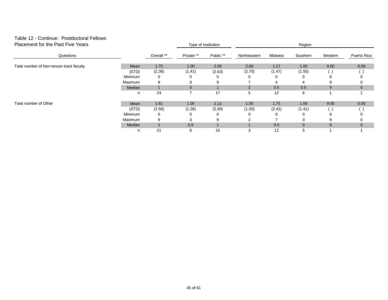### Table 12 - Continue: Postdoctoral Fellows

| Placement for the Past Five Years        |         |            |            | Type of Institution | Region       |         |              |         |              |  |
|------------------------------------------|---------|------------|------------|---------------------|--------------|---------|--------------|---------|--------------|--|
| Questions                                |         | Overall ** | Private ** | Public **           | Northeastern | Midwest | Southern     | Western | Puerto Rico  |  |
| Total number of Non-tenure track faculty | Mean    | 1.75       | 1.00       | 2.06                | 2.60         | 1.17    | 1.00         | 9.00    | 0.00         |  |
|                                          | (STD)   | (2.36)     | (1.41)     | (2.63)              | (2.70)       | (1.47)  | (1.55)       |         |              |  |
|                                          | Minimum | 0          |            | 0                   |              | 0       |              | 9       | $\Omega$     |  |
|                                          | Maximum | 9          |            | 9                   |              | 4       |              | 9       |              |  |
|                                          | Median  |            | $\Omega$   |                     | 2            | 0.5     | 0.5          | 9       | $\mathbf{0}$ |  |
|                                          | n       | 24         |            | 17                  | 5            | 12      | 6            |         |              |  |
| Total number of Other                    | Mean    | 1.81       | 1.00       | 2.13                | 1.00         | 1.75    | 1.00         | 9.00    | 0.00         |  |
|                                          | (STD)   | (2.56)     | (1.26)     | (2.90)              | (1.00)       | (2.42)  | (1.41)       |         |              |  |
|                                          | Minimum | 0          |            | 0                   |              | 0       |              | 9       |              |  |
|                                          | Maximum | 9          |            | 9                   |              |         |              | 9       |              |  |
|                                          | Median  |            | 0.5        |                     |              | 0.5     | $\mathbf{0}$ | 9       | $\mathbf{0}$ |  |
|                                          | n       | 21         | 6          | 15                  | 3            | 12      | 5            |         |              |  |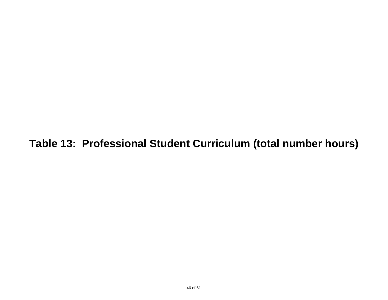**Table 13: Professional Student Curriculum (total number hours)**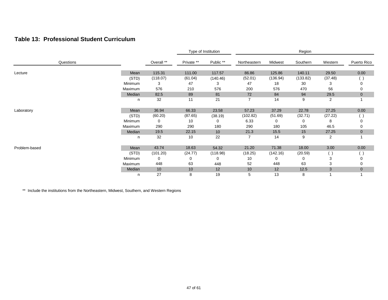#### **Table 13: Professional Student Curriculum**

|               |         |            |            | Type of Institution |              |          | Region   |         |                |
|---------------|---------|------------|------------|---------------------|--------------|----------|----------|---------|----------------|
| Questions     |         | Overall ** | Private ** | Public **           | Northeastern | Midwest  | Southern | Western | Puerto Rico    |
| Lecture       | Mean    | 115.31     | 111.00     | 117.57              | 86.86        | 125.86   | 140.11   | 29.50   | 0.00           |
|               | (STD)   | (118.07)   | (61.04)    | (140.46)            | (52.01)      | (136.94) | (133.82) | (37.48) |                |
|               | Minimum | 3          | 47         | 3                   | 47           | 18       | 30       | 3       | 0              |
|               | Maximum | 576        | 210        | 576                 | 200          | 576      | 470      | 56      | 0              |
|               | Median  | 82.5       | 89         | 81                  | 72           | 84       | 94       | 29.5    | $\mathbf 0$    |
|               | n       | 32         | 11         | 21                  | 7            | 14       | 9        | 2       |                |
| Laboratory    | Mean    | 36.94      | 66.33      | 23.58               | 57.23        | 37.29    | 22.78    | 27.25   | 0.00           |
|               | (STD)   | (60.20)    | (87.65)    | (38.19)             | (102.82)     | (51.69)  | (32.71)  | (27.22) |                |
|               | Minimum | 0          | 10         | 0                   | 6.33         | 0        | 0        | 8       |                |
|               | Maximum | 290        | 290        | 180                 | 290          | 180      | 105      | 46.5    | 0              |
|               | Median  | 19.5       | 22.15      | 10                  | 21.3         | 15.5     | 15       | 27.25   | 0              |
|               | n       | 32         | 10         | 22                  |              | 14       | 9        | 2       |                |
| Problem-based | Mean    | 43.74      | 18.63      | 54.32               | 21.20        | 71.38    | 18.00    | 3.00    | 0.00           |
|               | (STD)   | (101.20)   | (24.77)    | (118.98)            | (18.25)      | (142.16) | (20.59)  | $(\ )$  |                |
|               | Minimum | 0          | 0          | 0                   | 10           | 0        | 0        | 3       |                |
|               | Maximum | 448        | 63         | 448                 | 52           | 448      | 63       | 3       | 0              |
|               | Median  | 10         | 10         | 12                  | 10           | 12       | 12.5     | 3       | $\overline{0}$ |
|               | n       | 27         | 8          | 19                  | 5            | 13       | 8        |         |                |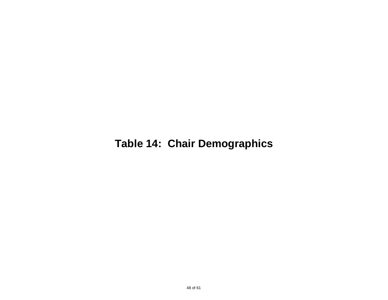# **Table 14: Chair Demographics**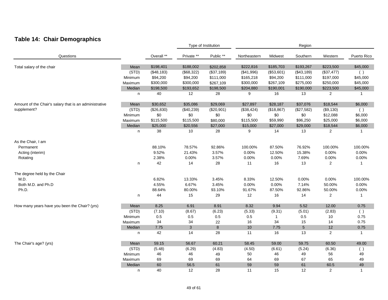### **Table 14: Chair Demographics**

|                                                        |         |            |              | Type of Institution |              |              | Region         |                |              |
|--------------------------------------------------------|---------|------------|--------------|---------------------|--------------|--------------|----------------|----------------|--------------|
| Questions                                              |         | Overall ** | Private **   | Public **           | Northeastern | Midwest      | Southern       | Western        | Puerto Rico  |
| Total salary of the chair                              | Mean    | \$198,401  | \$188,002    | \$202,858           | \$222,816    | \$185,703    | \$193,267      | \$223,500      | \$45,000     |
|                                                        | (STD)   | (\$48,183) | (\$68,322)   | (\$37,189)          | (\$41,996)   | (\$53,601)   | (\$43,189)     | (\$37,477)     | ( )          |
|                                                        | Minimum | \$94,200   | \$94,200     | \$111,000           | \$165,218    | \$94,200     | \$111,000      | \$197,000      | \$45,000     |
|                                                        | Maximum | \$300,000  | \$300,000    | \$267,109           | \$300,000    | \$267,109    | \$275,000      | \$250,000      | \$45,000     |
|                                                        | Median  | \$198,500  | \$193,652    | \$198,500           | \$204,880    | \$190,001    | \$190,000      | \$223,500      | \$45,000     |
|                                                        | n       | 40         | 12           | 28                  | 9            | 16           | 13             | 2              | $\mathbf{1}$ |
| Amount of the Chair's salary that is an administrative | Mean    | \$30,652   | \$35,086     | \$29,069            | \$27,897     | \$28,187     | \$37,076       | \$18,544       | \$6,000      |
| supplement?                                            | (STD)   | (\$26,830) | (\$40,239)   | (\$20,901)          | (\$38,424)   | (\$18,867)   | (\$27,582)     | (\$9,130)      | ( )          |
|                                                        | Minimum | \$0        | \$0          | \$0                 | \$0          | \$0          | \$0            | \$12,088       | \$6,000      |
|                                                        | Maximum | \$115,500  | \$115,500    | \$80,000            | \$115,500    | \$59,990     | \$96,250       | \$25,000       | \$6,000      |
|                                                        | Median  | \$25,000   | \$20,556     | \$27,000            | \$15,000     | \$27,000     | \$29,000       | \$18,544       | \$6,000      |
|                                                        | n       | 38         | 10           | 28                  | 9            | 14           | 13             | 2              | $\mathbf{1}$ |
| As the Chair, I am                                     |         |            |              |                     |              |              |                |                |              |
| Permanent                                              |         | 88.10%     | 78.57%       | 92.86%              | 100.00%      | 87.50%       | 76.92%         | 100.00%        | 100.00%      |
| Acting (interim)                                       |         | 9.52%      | 21.43%       | 3.57%               | 0.00%        | 12.50%       | 15.38%         | 0.00%          | 0.00%        |
| Rotating                                               |         | 2.38%      | 0.00%        | 3.57%               | 0.00%        | 0.00%        | 7.69%          | 0.00%          | 0.00%        |
|                                                        | n       | 42         | 14           | 28                  | 11           | 16           | 13             | 2              | $\mathbf{1}$ |
| The degree held by the Chair                           |         |            |              |                     |              |              |                |                |              |
| M.D.                                                   |         | 6.82%      | 13.33%       | 3.45%               | 8.33%        | 12.50%       | 0.00%          | 0.00%          | 100.00%      |
| Both M.D. and Ph.D                                     |         | 4.55%      | 6.67%        | 3.45%               | 0.00%        | 0.00%        | 7.14%          | 50.00%         | 0.00%        |
| Ph.D.                                                  |         | 88.64%     | 80.00%       | 93.10%              | 91.67%       | 87.50%       | 92.86%         | 50.00%         | 0.00%        |
|                                                        | n       | 44         | 15           | 29                  | 12           | 16           | 14             | $\overline{2}$ | $\mathbf{1}$ |
| How many years have you been the Chair? (yrs)          | Mean    | 8.25       | 6.91         | 8.91                | 8.32         | 9.94         | 5.52           | 12.00          | 0.75         |
|                                                        | (STD)   | (7.10)     | (8.67)       | (6.23)              | (5.33)       | (9.31)       | (5.01)         | (2.83)         | ( )          |
|                                                        | Minimum | 0.5        | 0.5          | $0.5\,$             | 0.5          | $\mathbf{1}$ | 0.5            | 10             | 0.75         |
|                                                        | Maximum | 34         | 34           | 22                  | 16           | 34           | 15             | 14             | 0.75         |
|                                                        | Median  | 7.75       | $\mathbf{3}$ | $\bf{8}$            | 10           | 7.75         | $\overline{5}$ | $12$           | 0.75         |
|                                                        | n       | 42         | 14           | 28                  | 11           | 16           | 13             | $\overline{2}$ | $\mathbf{1}$ |
| The Chair's age? (yrs)                                 | Mean    | 59.15      | 56.67        | 60.21               | 58.45        | 59.00        | 59.75          | 60.50          | 49.00        |
|                                                        | (STD)   | (5.48)     | (6.29)       | (4.83)              | (4.50)       | (6.61)       | (5.24)         | (6.36)         | ( )          |
|                                                        | Minimum | 46         | 46           | 49                  | 50           | 46           | 49             | 56             | 49           |
|                                                        | Maximum | 69         | 69           | 69                  | 64           | 69           | 67             | 65             | 49           |
|                                                        | Median  | 60         | 56.5         | 61                  | 59           | 59           | 61             | 60.5           | 49           |
|                                                        | n       | 40         | 12           | 28                  | 11           | 15           | 12             | 2              | $\mathbf{1}$ |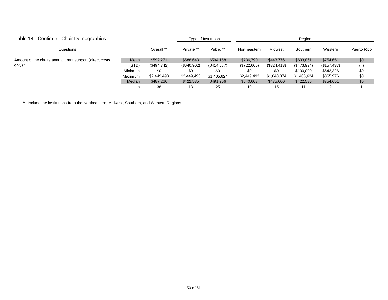| Table 14 - Continue: Chair Demographics                  |         |             | Type of Institution |             | Region       |             |             |             |             |
|----------------------------------------------------------|---------|-------------|---------------------|-------------|--------------|-------------|-------------|-------------|-------------|
| Questions                                                |         | Overall **  | Private **          | Public **   | Northeastern | Midwest     | Southern    | Western     | Puerto Rico |
| Amount of the chairs annual grant support (direct costs) | Mean    | \$592,271   | \$588,643           | \$594,158   | \$736,790    | \$443,776   | \$633,861   | \$754,651   | \$0         |
| only)?                                                   | (STD)   | (\$494,742) | (\$640,902)         | (\$414,687) | (\$722,665)  | (\$324,413) | (\$473,994) | (\$157,437) |             |
|                                                          | Minimum | \$0         | \$0                 | \$0         | \$0          | \$0         | \$100,000   | \$643,326   | \$0         |
|                                                          | Maximum | \$2,449,493 | \$2,449,493         | \$1,405,624 | \$2,449,493  | \$1,048,874 | \$1,405,624 | \$865,976   | \$0         |
|                                                          | Median  | \$487,266   | \$422,535           | \$491,206   | \$540,663    | \$475,000   | \$422,535   | \$754,651   | \$0         |
|                                                          |         | 38          | 13                  | 25          | 10           | 15          |             |             |             |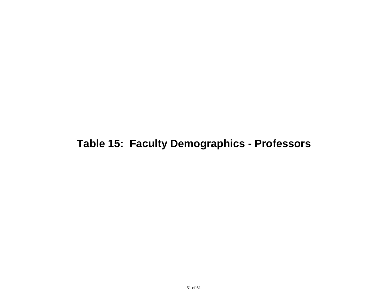### **Table 15: Faculty Demographics - Professors**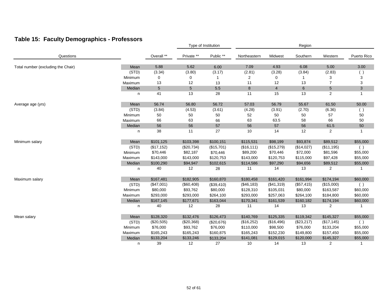### **Table 15: Faculty Demographics - Professors**

|                                    |         |             | Type of Institution |            | Region       |                |             |                 |              |
|------------------------------------|---------|-------------|---------------------|------------|--------------|----------------|-------------|-----------------|--------------|
| Questions                          |         | Overall **  | Private **          | Public **  | Northeastern | Midwest        | Southern    | Western         | Puerto Rico  |
| Total number (excluding the Chair) | Mean    | 5.88        | 5.62                | 6.00       | 7.09         | 4.93           | 6.08        | 5.00            | 3.00         |
|                                    | (STD)   | (3.34)      | (3.80)              | (3.17)     | (2.81)       | (3.28)         | (3.84)      | (2.83)          | $($ )        |
|                                    | Minimum | 0           | 0                   | 1          | 2            | 0              | $\mathbf 1$ | 3               | 3            |
|                                    | Maximum | 13          | 12                  | 13         | 11           | 12             | 13          | $\overline{7}$  | 3            |
|                                    | Median  | $\sqrt{5}$  | $5\phantom{.0}$     | $5.5\,$    | 8            | $\overline{4}$ | 6           | $5\phantom{.0}$ | 3            |
|                                    | n       | 41          | 13                  | 28         | 11           | 15             | 13          | 2               | 1            |
| Average age (yrs)                  | Mean    | 56.74       | 56.80               | 56.72      | 57.03        | 56.79          | 55.67       | 61.50           | 50.00        |
|                                    | (STD)   | (3.84)      | (4.53)              | (3.61)     | (4.28)       | (3.91)         | (2.70)      | (6.36)          | ( )          |
|                                    | Minimum | 50          | 50                  | 50         | 52           | 50             | 50          | 57              | 50           |
|                                    | Maximum | 66          | 63                  | 66         | 63           | 63.5           | 58          | 66              | 50           |
|                                    | Median  | 56          | 56                  | 57         | 56           | 57             | 56          | 61.5            | 50           |
|                                    | n       | 38          | 11                  | 27         | 10           | 14             | 12          | 2               | $\mathbf{1}$ |
| Minimum salary                     | Mean    | \$101,125   | \$103,398           | \$100,151  | \$115,531    | \$98,199       | \$93,874    | \$89,512        | \$55,000     |
|                                    | (STD)   | (\$17, 152) | (\$20,734)          | (\$15,701) | (\$16, 111)  | (\$15,279)     | (\$14,027)  | (\$11,195)      | ( )          |
|                                    | Minimum | \$70,446    | \$82,187            | \$70,446   | \$89,200     | \$70,446       | \$72,000    | \$81,596        | \$55,000     |
|                                    | Maximum | \$143,000   | \$143,000           | \$120,753  | \$143,000    | \$120,753      | \$115,000   | \$97,428        | \$55,000     |
|                                    | Median  | \$100,290   | \$94,947            | \$102,615  | \$114,586    | \$97,290       | \$94,656    | \$89,512        | \$55,000     |
|                                    | n       | 40          | 12                  | 28         | 11           | 14             | 13          | 2               | -1           |
| Maximum salary                     | Mean    | \$167,481   | \$182,905           | \$160,870  | \$180,458    | \$161,420      | \$161,994   | \$174,194       | \$60,000     |
|                                    | (STD)   | (\$47,001)  | (\$60,408)          | (\$39,410) | (\$46,183)   | (\$41,319)     | (\$57,415)  | (\$15,000)      | ( )          |
|                                    | Minimum | \$80,000    | \$93,762            | \$80,000   | \$128,310    | \$105,031      | \$80,000    | \$163,587       | \$60,000     |
|                                    | Maximum | \$293,000   | \$293,000           | \$264,100  | \$293,000    | \$257,063      | \$264,100   | \$184,800       | \$60,000     |
|                                    | Median  | \$167,145   | \$177,671           | \$163,044  | \$170,341    | \$161,539      | \$160,182   | \$174,194       | \$60,000     |
|                                    | n       | 40          | 12                  | 28         | 11           | 14             | 13          | 2               | 1            |
| Mean salary                        | Mean    | \$128,320   | \$132,476           | \$126,473  | \$140,769    | \$125,335      | \$119,342   | \$145,327       | \$55,000     |
|                                    | (STD)   | (\$20,505)  | (\$20,368)          | (\$20,676) | (\$16,252)   | (\$16,496)     | (\$23,217)  | (\$17, 145)     | ( )          |
|                                    | Minimum | \$76,000    | \$93,762            | \$76,000   | \$110,000    | \$98,500       | \$76,000    | \$133,204       | \$55,000     |
|                                    | Maximum | \$165,243   | \$165,243           | \$160,875  | \$165,243    | \$152,230      | \$149,800   | \$157,450       | \$55,000     |
|                                    | Median  | \$133,204   | \$133,246           | \$133,204  | \$141,081    | \$129,015      | \$120,000   | \$145,327       | \$55,000     |
|                                    | n       | 39          | 12                  | 27         | 10           | 14             | 13          | 2               | 1            |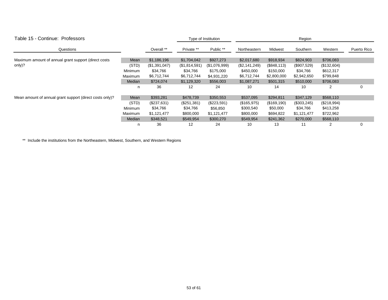| Table 15 - Continue: Professors                          |                |               | Type of Institution |               | Region        |              |             |             |             |
|----------------------------------------------------------|----------------|---------------|---------------------|---------------|---------------|--------------|-------------|-------------|-------------|
| Questions                                                |                | Overall **    | Private **          | Public **     | Northeastern  | Midwest      | Southern    | Western     | Puerto Rico |
| Maximum amount of annual grant support (direct costs     | Mean           | \$1,186,196   | \$1,704,042         | \$927,273     | \$2,017,680   | \$918,934    | \$824,903   | \$706,083   |             |
| only)?                                                   | (STD)          | (\$1,391,047) | (\$1,814,591)       | (\$1,076,999) | (\$2,141,249) | (\$848, 113) | (\$907,529) | (\$132,604) |             |
|                                                          | <b>Minimum</b> | \$34,766      | \$34,766            | \$175,000     | \$450,000     | \$150,000    | \$34,766    | \$612,317   |             |
|                                                          | Maximum        | \$6,712,744   | \$6,712,744         | \$4,931,220   | \$6,712,744   | \$2,800,000  | \$2,942,650 | \$799,848   |             |
|                                                          | Median         | \$724,074     | \$1,129,320         | \$556,003     | \$1,087,271   | \$501,315    | \$510,000   | \$706,083   |             |
|                                                          | n              | 36            | 12                  | 24            | 10            | 14           | 10          |             | 0           |
| Mean amount of annual grant support (direct costs only)? | Mean           | \$393,281     | \$478,739           | \$350,553     | \$537,095     | \$294,811    | \$347,129   | \$568,110   |             |
|                                                          | (STD)          | (\$237,631)   | (\$251,381)         | $(\$223,591)$ | (\$165,975)   | (\$169, 190) | (\$303,245) | (\$218,994) |             |
|                                                          | Minimum        | \$34,766      | \$34,766            | \$56,850      | \$300,540     | \$50,000     | \$34,766    | \$413,258   |             |
|                                                          | Maximum        | \$1,121,477   | \$800,000           | \$1,121,477   | \$800,000     | \$694,822    | \$1,121,477 | \$722,962   |             |
|                                                          | Median         | \$348,521     | \$549,954           | \$300,270     | \$549,954     | \$241,362    | \$270,000   | \$568,110   |             |
|                                                          | n              | 36            | 12                  | 24            | 10            | 13           | 11          |             | 0           |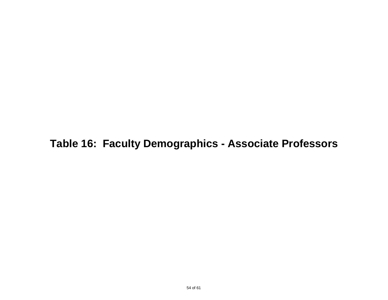**Table 16: Faculty Demographics - Associate Professors**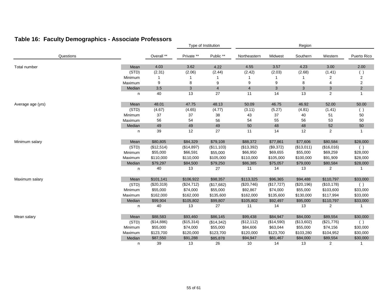### **Table 16: Faculty Demographics - Associate Professors**

|                   |         |            |            | Type of Institution |                | Region     |            |                |                |  |
|-------------------|---------|------------|------------|---------------------|----------------|------------|------------|----------------|----------------|--|
| Questions         |         | Overall ** | Private ** | Public **           | Northeastern   | Midwest    | Southern   | Western        | Puerto Rico    |  |
| Total number      | Mean    | 4.03       | 3.62       | 4.22                | 4.55           | 3.57       | 4.23       | 3.00           | 2.00           |  |
|                   | (STD)   | (2.31)     | (2.06)     | (2.44)              | (2.42)         | (2.03)     | (2.68)     | (1.41)         | ()             |  |
|                   | Minimum |            |            |                     |                |            |            | $\overline{2}$ | 2              |  |
|                   | Maximum | 9          | 8          | 9                   | 9              | 9          | 8          | $\overline{4}$ | 2              |  |
|                   | Median  | 3.5        | 3          | $\overline{4}$      | $\overline{4}$ | 3          | 3          | 3              | $\overline{2}$ |  |
|                   | n       | 40         | 13         | 27                  | 11             | 14         | 13         | $\overline{c}$ | $\mathbf{1}$   |  |
| Average age (yrs) | Mean    | 48.01      | 47.75      | 48.13               | 50.09          | 46.75      | 46.92      | 52.00          | 50.00          |  |
|                   | (STD)   | (4.67)     | (4.65)     | (4.77)              | (3.11)         | (5.27)     | (4.81)     | (1.41)         | ( )            |  |
|                   | Minimum | 37         | 37         | 38                  | 43             | $37\,$     | 40         | 51             | 50             |  |
|                   | Maximum | 56         | 54         | 56                  | 54             | 55         | 56         | 53             | 50             |  |
|                   | Median  | 49         | 49         | 49                  | 50             | 48         | 48         | 52             | 50             |  |
|                   | n       | 39         | 12         | 27                  | 11             | 14         | 12         | 2              | $\mathbf{1}$   |  |
| Minimum salary    | Mean    | \$80,805   | \$84,329   | \$79,108            | \$88,372       | \$77,861   | \$77,606   | \$80,584       | \$28,000       |  |
|                   | (STD)   | (\$12,514) | (\$14,897) | (\$11,103)          | (\$13,392)     | (\$9,372)  | (\$13,011) | (\$16,016)     | ( )            |  |
|                   | Minimum | \$55,000   | \$66,591   | \$55,000            | \$66,950       | \$69,655   | \$55,000   | \$69,259       | \$28,000       |  |
|                   | Maximum | \$110,000  | \$110,000  | \$105,000           | \$110,000      | \$105,000  | \$100,000  | \$91,909       | \$28,000       |  |
|                   | Median  | \$79,297   | \$84,500   | \$79,250            | \$86,385       | \$75,057   | \$79,000   | \$80,584       | \$28,000       |  |
|                   | n       | 40         | 13         | 27                  | 11             | 14         | 13         | 2              | 1              |  |
| Maximum salary    | Mean    | \$101,141  | \$106,922  | \$98,357            | \$113,325      | \$96,365   | \$94,488   | \$110,797      | \$33,000       |  |
|                   | (STD)   | (\$20,319) | (\$24,712) | (\$17,682)          | (\$20,746)     | (\$17,727) | (\$20,196) | (\$10, 178)    | ( )            |  |
|                   | Minimum | \$55,000   | \$74,000   | \$55,000            | \$92,867       | \$74,000   | \$55,000   | \$103,600      | \$33,000       |  |
|                   | Maximum | \$162,000  | \$162,000  | \$135,600           | \$162,000      | \$135,600  | \$130,000  | \$117,994      | \$33,000       |  |
|                   | Median  | \$99,904   | \$105,802  | \$99,807            | \$105,802      | \$92,497   | \$95,000   | \$110,797      | \$33,000       |  |
|                   | n       | 40         | 13         | 27                  | 11             | 14         | 13         | 2              | 1              |  |
| Mean salary       | Mean    | \$88,583   | \$93,460   | \$86,145            | \$99,438       | \$84,947   | \$84,000   | \$89,554       | \$30,000       |  |
|                   | (STD)   | (\$14,886) | (\$15,314) | (\$14,342)          | (\$12,112)     | (\$14,590) | (\$13,602) | (\$21,776)     | ( )            |  |
|                   | Minimum | \$55,000   | \$74,000   | \$55,000            | \$84,606       | \$63,044   | \$55,000   | \$74,156       | \$30,000       |  |
|                   | Maximum | \$123,700  | \$120,000  | \$123,700           | \$120,000      | \$123,700  | \$103,280  | \$104,952      | \$30,000       |  |
|                   | Median  | \$87,550   | \$91,288   | \$85,878            | \$94,947       | \$81,467   | \$84,000   | \$89,554       | \$30,000       |  |
|                   | n       | 39         | 13         | 26                  | 10             | 14         | 13         | 2              | $\mathbf{1}$   |  |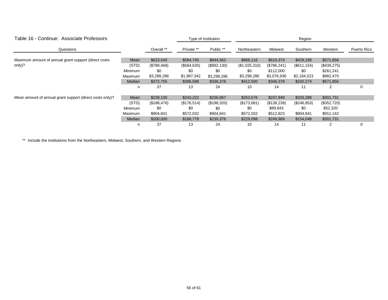| Table 16 - Continue: Associate Professors                |         |             |             | Type of Institution |               | Region       |              |             |             |  |  |
|----------------------------------------------------------|---------|-------------|-------------|---------------------|---------------|--------------|--------------|-------------|-------------|--|--|
| Questions                                                |         | Overall **  | Private **  | Public **           | Northeastern  | Midwest      | Southern     | Western     | Puerto Rico |  |  |
| Maximum amount of annual grant support (direct costs)    | Mean    | \$623,545   | \$584,745   | \$644,562           | \$866,116     | \$610,373    | \$429,189    | \$571,856   |             |  |  |
| only)?                                                   | (STD)   | (\$789,468) | (\$584,635) | (\$892,130)         | (\$1,025,310) | (\$786, 241) | (\$611, 154) | (\$439,275) |             |  |  |
|                                                          | Minimum | \$0         | \$0         | \$0                 | \$0           | \$112,000    | \$0          | \$261,241   |             |  |  |
|                                                          | Maximum | \$3,298,286 | \$1,987,342 | \$3,298,286         | \$3,298,286   | \$3,076,936  | \$2,184,523  | \$882,470   |             |  |  |
|                                                          | Median  | \$372,755   | \$396,598   | \$336,378           | \$412,500     | \$346,378    | \$242,274    | \$571,856   |             |  |  |
|                                                          | n       | 37          | 13          | 24                  | 10            | 14           | 11           |             | 0           |  |  |
| Mean amount of annual grant support (direct costs only)? | Mean    | \$239,100   | \$243,222   | \$236,867           | \$253,576     | \$247,949    | \$203,288    | \$301,731   |             |  |  |
|                                                          | (STD)   | (\$188,476) | (\$176,514) | (\$198,320)         | (\$173,681)   | (\$138,239)  | (\$246,853)  | (\$352,720) |             |  |  |
|                                                          | Minimum | \$0         | \$0         | \$0                 | \$0           | \$89,843     | \$0          | \$52,320    |             |  |  |
|                                                          | Maximum | \$904,841   | \$572,032   | \$904,841           | \$572,032     | \$512,823    | \$904,841    | \$551,142   |             |  |  |
|                                                          | Median  | \$200,000   | \$188,778   | \$230,376           | \$229,098     | \$249,969    | \$154,048    | \$301,731   |             |  |  |
|                                                          | n       | 37          | 13          | 24                  | 10            | 14           | 11           |             | 0           |  |  |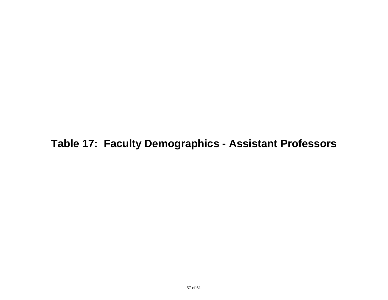**Table 17: Faculty Demographics - Assistant Professors**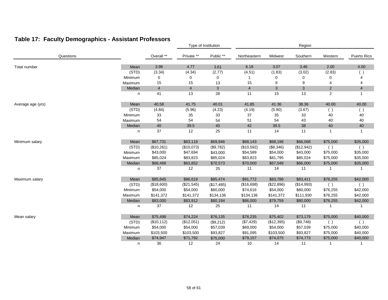### **Table 17: Faculty Demographics - Assistant Professors**

|                   |         |                | Type of Institution |              | Region         |            |            |                |                |
|-------------------|---------|----------------|---------------------|--------------|----------------|------------|------------|----------------|----------------|
| Questions         |         | Overall **     | Private **          | Public **    | Northeastern   | Midwest    | Southern   | Western        | Puerto Rico    |
| Total number      | Mean    | 3.98           | 4.77                | 3.61         | 6.18           | 3.07       | 3.46       | 2.00           | 4.00           |
|                   | (STD)   | (3.34)         | (4.34)              | (2.77)       | (4.51)         | (1.83)     | (3.02)     | (2.83)         | $($ )          |
|                   | Minimum | 0              | 0                   | 0            |                | 0          | 0          | $\Omega$       |                |
|                   | Maximum | 15             | 15                  | 13           | 15             | 6          | 9          | $\overline{4}$ | 4              |
|                   | Median  | $\overline{4}$ | $\overline{4}$      | $\mathbf{3}$ | $\overline{4}$ | 3          | 3          | $\overline{2}$ | $\overline{4}$ |
|                   | n       | 41             | 13                  | 28           | 11             | 15         | 13         | $\overline{2}$ | $\mathbf{1}$   |
| Average age (yrs) | Mean    | 40.58          | 41.75               | 40.01        | 41.85          | 41.36      | 38.36      | 40.00          | 40.00          |
|                   | (STD)   | (4.84)         | (5.96)              | (4.23)       | (4.19)         | (5.90)     | (3.67)     | ( )            | ( )            |
|                   | Minimum | 33             | 35                  | 33           | 37             | 35         | 33         | 40             | 40             |
|                   | Maximum | 54             | 54                  | 54           | 51             | 54         | 43         | 40             | 40             |
|                   | Median  | $40\,$         | 39.5                | 40           | 42             | 39.5       | 38         | 40             | 40             |
|                   | n       | 37             | 12                  | 25           | 11             | 14         | 11         | $\mathbf 1$    | $\mathbf{1}$   |
| Minimum salary    | Mean    | \$67,731       | \$63,118            | \$69,946     | \$68,143       | \$68,196   | \$66,068   | \$75,000       | \$35,000       |
|                   | (STD)   | (\$10,261)     | (\$10,073)          | (\$9,782)    | (\$10,592)     | (\$8,346)  | (\$12,942) | (              | $($ )          |
|                   | Minimum | \$43,000       | \$47,694            | \$43,000     | \$54,589       | \$54,000   | \$43,000   | \$75,000       | \$35,000       |
|                   | Maximum | \$85,024       | \$83,823            | \$85,024     | \$83,823       | \$81,795   | \$85,024   | \$75,000       | \$35,000       |
|                   | Median  | \$68,468       | \$63,852            | \$70,573     | \$70,000       | \$67,048   | \$66,000   | \$75,000       | \$35,000       |
|                   | n       | 37             | 12                  | 25           | 11             | 14         | 11         |                | 1              |
| Maximum salary    | Mean    | \$85,845       | \$86,619            | \$85,474     | \$91,772       | \$83,786   | \$83,411   | \$76,255       | \$42,000       |
|                   | (STD)   | (\$18,600)     | (\$21,545)          | (\$17,485)   | (\$16,698)     | (\$22,896) | (\$14,993) | $($ )          | ( )            |
|                   | Minimum | \$54,000       | \$54,000            | \$60,000     | \$74,616       | \$54,000   | \$60,000   | \$76,255       | \$42,000       |
|                   | Maximum | \$141,372      | \$141,372           | \$134,136    | \$134,136      | \$141,372  | \$111,930  | \$76,255       | \$42,000       |
|                   | Median  | \$83,000       | \$83,912            | \$80,194     | \$86,000       | \$79,759   | \$80,000   | \$76,255       | \$42,000       |
|                   | n       | 37             | 12                  | 25           | 11             | 14         | 11         | -1             | -1             |
| Mean salary       | Mean    | \$75,498       | \$74,224            | \$76,135     | \$78,235       | \$75,402   | \$73,179   | \$75,000       | \$40,000       |
|                   | (STD)   | (\$10, 112)    | (\$12,051)          | (\$9,212)    | (\$7,429)      | (\$12,395) | (\$9,748)  | ( )            | ( )            |
|                   | Minimum | \$54,000       | \$54,000            | \$57,039     | \$69,000       | \$54,000   | \$57,039   | \$75,000       | \$40,000       |
|                   | Maximum | \$103,500      | \$103,500           | \$93,827     | \$91,095       | \$103,500  | \$93,827   | \$75,000       | \$40,000       |
|                   | Median  | \$74,947       | \$71,792            | \$75,000     | \$79,157       | \$74,075   | \$74,773   | \$75,000       | \$40,000       |
|                   | n       | 36             | 12                  | 24           | 10             | 14         | 11         | -1             | 1              |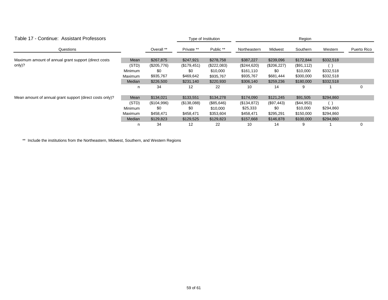| Table 17 - Continue: Assistant Professors                |         |             | Type of Institution |             | Region       |              |              |           |             |
|----------------------------------------------------------|---------|-------------|---------------------|-------------|--------------|--------------|--------------|-----------|-------------|
| Questions                                                |         | Overall **  | Private **          | Public **   | Northeastern | Midwest      | Southern     | Western   | Puerto Rico |
| Maximum amount of annual grant support (direct costs     | Mean    | \$267,875   | \$247,921           | \$278,758   | \$387,227    | \$239,096    | \$172,844    | \$332,518 |             |
| only)?                                                   | (STD)   | (\$205,776) | (\$179,451)         | (\$222,083) | (\$244,620)  | (\$206,227)  | (\$91,112)   |           |             |
|                                                          | Minimum | \$0         | \$0                 | \$10,000    | \$161,110    | \$0          | \$10,000     | \$332,518 |             |
|                                                          | Maximum | \$935,767   | \$469,642           | \$935,767   | \$935,767    | \$681,444    | \$300,000    | \$332,518 |             |
|                                                          | Median  | \$226,500   | \$231,140           | \$220,930   | \$306,140    | \$259,236    | \$180,000    | \$332,518 |             |
|                                                          | n       | 34          | $12 \overline{ }$   | 22          | 10           | 14           | 9            |           | 0           |
| Mean amount of annual grant support (direct costs only)? | Mean    | \$134,021   | \$133,551           | \$134,278   | \$174,090    | \$121,245    | \$91,505     | \$294,860 |             |
|                                                          | (STD)   | (\$104,996) | (\$138,088)         | (\$85,646)  | (\$134,872)  | $(\$97,443)$ | $(\$44,953)$ |           |             |
|                                                          | Minimum | \$0         | \$0                 | \$10,000    | \$25,333     | \$0          | \$10,000     | \$294,860 |             |
|                                                          | Maximum | \$458,471   | \$458,471           | \$353,604   | \$458,471    | \$295,291    | \$150,000    | \$294,860 |             |
|                                                          | Median  | \$129,823   | \$129,525           | \$129,823   | \$157,668    | \$146,878    | \$100,000    | \$294,860 |             |
|                                                          | n       | 34          | 12                  | 22          | 10           | 14           | 9            |           | 0           |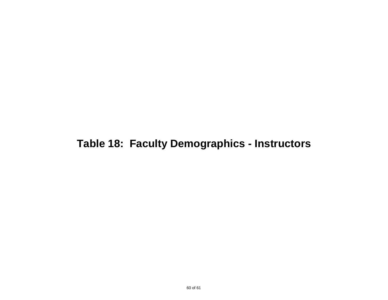### **Table 18: Faculty Demographics - Instructors**